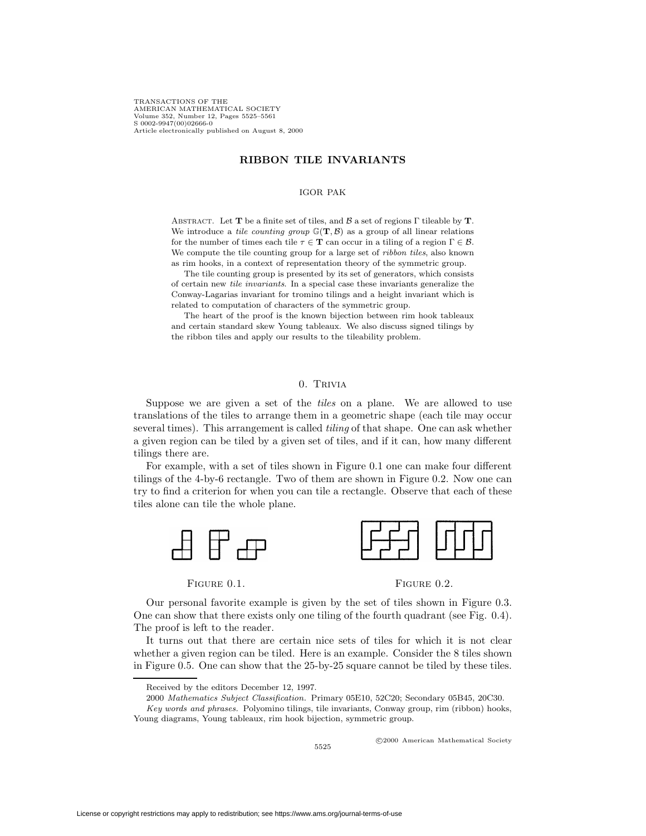TRANSACTIONS OF THE AMERICAN MATHEMATICAL SOCIETY Volume 352, Number 12, Pages 5525–5561 S 0002-9947(00)02666-0 Article electronically published on August 8, 2000

# **RIBBON TILE INVARIANTS**

#### IGOR PAK

Abstract. Let **<sup>T</sup>** be a finite set of tiles, and <sup>B</sup> a set of regions Γ tileable by **<sup>T</sup>**. We introduce a *tile counting group*  $\mathbb{G}(T,\mathcal{B})$  as a group of all linear relations for the number of times each tile  $\tau \in \mathbf{T}$  can occur in a tiling of a region  $\Gamma \in \mathcal{B}$ . We compute the tile counting group for a large set of ribbon tiles, also known as rim hooks, in a context of representation theory of the symmetric group.

The tile counting group is presented by its set of generators, which consists of certain new tile invariants. In a special case these invariants generalize the Conway-Lagarias invariant for tromino tilings and a height invariant which is related to computation of characters of the symmetric group.

The heart of the proof is the known bijection between rim hook tableaux and certain standard skew Young tableaux. We also discuss signed tilings by the ribbon tiles and apply our results to the tileability problem.

### 0. Trivia

Suppose we are given a set of the *tiles* on a plane. We are allowed to use translations of the tiles to arrange them in a geometric shape (each tile may occur several times). This arrangement is called tiling of that shape. One can ask whether a given region can be tiled by a given set of tiles, and if it can, how many different tilings there are.

For example, with a set of tiles shown in Figure 0.1 one can make four different tilings of the 4-by-6 rectangle. Two of them are shown in Figure 0.2. Now one can try to find a criterion for when you can tile a rectangle. Observe that each of these tiles alone can tile the whole plane.



FIGURE 0.1. FIGURE 0.2.



Our personal favorite example is given by the set of tiles shown in Figure 0.3. One can show that there exists only one tiling of the fourth quadrant (see Fig. 0.4). The proof is left to the reader.

It turns out that there are certain nice sets of tiles for which it is not clear whether a given region can be tiled. Here is an example. Consider the 8 tiles shown in Figure 0.5. One can show that the 25-by-25 square cannot be tiled by these tiles.

5525

c 2000 American Mathematical Society

Received by the editors December 12, 1997.

<sup>2000</sup> Mathematics Subject Classification. Primary 05E10, 52C20; Secondary 05B45, 20C30.

Key words and phrases. Polyomino tilings, tile invariants, Conway group, rim (ribbon) hooks, Young diagrams, Young tableaux, rim hook bijection, symmetric group.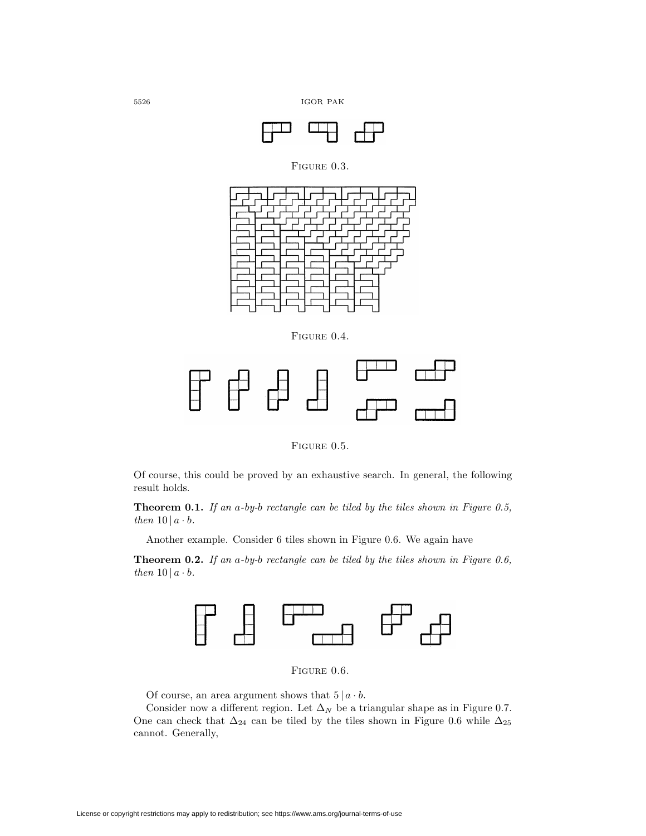

FIGURE 0.3.



FIGURE 0.4.



FIGURE 0.5.

Of course, this could be proved by an exhaustive search. In general, the following result holds.

**Theorem 0.1.** If an a-by-b rectangle can be tiled by the tiles shown in Figure 0.5, then  $10 | a \cdot b$ .

Another example. Consider 6 tiles shown in Figure 0.6. We again have

**Theorem 0.2.** If an a-by-b rectangle can be tiled by the tiles shown in Figure 0.6, then  $10 | a \cdot b$ .





Of course, an area argument shows that  $5 | a \cdot b$ .

Consider now a different region. Let  $\Delta_N$  be a triangular shape as in Figure 0.7. One can check that  $\Delta_{24}$  can be tiled by the tiles shown in Figure 0.6 while  $\Delta_{25}$ cannot. Generally,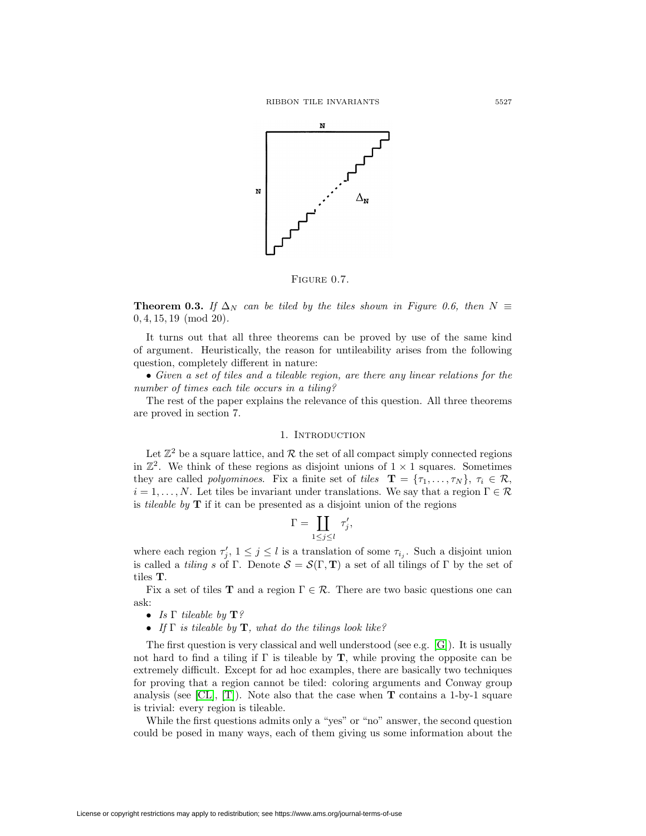

FIGURE 0.7.

**Theorem 0.3.** If  $\Delta_N$  can be tiled by the tiles shown in Figure 0.6, then  $N \equiv$ 0, 4, 15, 19 (mod 20).

It turns out that all three theorems can be proved by use of the same kind of argument. Heuristically, the reason for untileability arises from the following question, completely different in nature:

• Given a set of tiles and a tileable region, are there any linear relations for the number of times each tile occurs in a tiling?

The rest of the paper explains the relevance of this question. All three theorems are proved in section 7.

# 1. INTRODUCTION

Let  $\mathbb{Z}^2$  be a square lattice, and R the set of all compact simply connected regions in  $\mathbb{Z}^2$ . We think of these regions as disjoint unions of  $1 \times 1$  squares. Sometimes they are called *polyominoes*. Fix a finite set of tiles  $\mathbf{T} = \{\tau_1, \ldots, \tau_N\}, \tau_i \in \mathcal{R},$  $i = 1, \ldots, N$ . Let tiles be invariant under translations. We say that a region  $\Gamma \in \mathcal{R}$ is tileable by **T** if it can be presented as a disjoint union of the regions

$$
\Gamma = \coprod_{1 \leq j \leq l} \ \tau_j',
$$

where each region  $\tau'_j$ ,  $1 \leq j \leq l$  is a translation of some  $\tau_{i_j}$ . Such a disjoint union is called a *tiling s* of Γ. Denote  $S = \mathcal{S}(\Gamma, \mathbf{T})$  a set of all tilings of Γ by the set of tiles **T**.

Fix a set of tiles **T** and a region  $\Gamma \in \mathcal{R}$ . There are two basic questions one can ask:

- Is Γ tileable by **T**?
- If Γ is tileable by **T**, what do the tilings look like?

The first question is very classical and well understood (see e.g. [\[G\]](#page-35-0)). It is usually not hard to find a tiling if Γ is tileable by **T**, while proving the opposite can be extremely difficult. Except for ad hoc examples, there are basically two techniques for proving that a region cannot be tiled: coloring arguments and Conway group analysis (see [\[CL\]](#page-35-1), [\[T\]](#page-36-0)). Note also that the case when **T** contains a 1-by-1 square is trivial: every region is tileable.

While the first questions admits only a "yes" or "no" answer, the second question could be posed in many ways, each of them giving us some information about the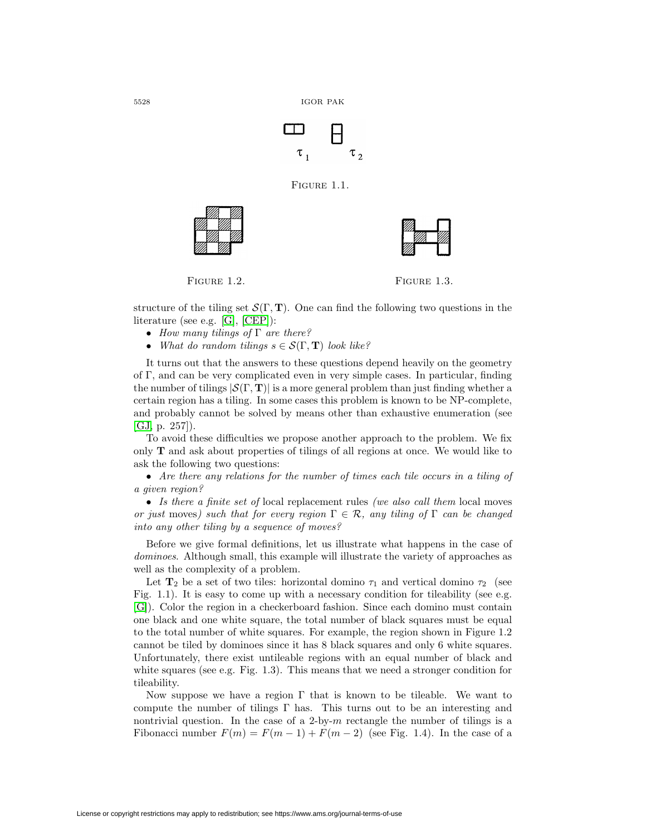5528 IGOR PAK







FIGURE 1.2. FIGURE 1.3.

structure of the tiling set  $\mathcal{S}(\Gamma, \mathbf{T})$ . One can find the following two questions in the literature (see e.g. [\[G\]](#page-35-0), [\[CEP\]](#page-35-2)):

- How many tilings of  $\Gamma$  are there?
- What do random tilings  $s \in \mathcal{S}(\Gamma, \mathbf{T})$  look like?

It turns out that the answers to these questions depend heavily on the geometry of Γ, and can be very complicated even in very simple cases. In particular, finding the number of tilings  $|\mathcal{S}(\Gamma, \mathbf{T})|$  is a more general problem than just finding whether a certain region has a tiling. In some cases this problem is known to be NP-complete, and probably cannot be solved by means other than exhaustive enumeration (see [\[GJ,](#page-35-3) p. 257]).

To avoid these difficulties we propose another approach to the problem. We fix only **T** and ask about properties of tilings of all regions at once. We would like to ask the following two questions:

• Are there any relations for the number of times each tile occurs in a tiling of a given region?

• Is there a finite set of local replacement rules (we also call them local moves or just moves) such that for every region  $\Gamma \in \mathcal{R}$ , any tiling of  $\Gamma$  can be changed into any other tiling by a sequence of moves?

Before we give formal definitions, let us illustrate what happens in the case of dominoes. Although small, this example will illustrate the variety of approaches as well as the complexity of a problem.

Let  $T_2$  be a set of two tiles: horizontal domino  $\tau_1$  and vertical domino  $\tau_2$  (see Fig. 1.1). It is easy to come up with a necessary condition for tileability (see e.g. [\[G\]](#page-35-0)). Color the region in a checkerboard fashion. Since each domino must contain one black and one white square, the total number of black squares must be equal to the total number of white squares. For example, the region shown in Figure 1.2 cannot be tiled by dominoes since it has 8 black squares and only 6 white squares. Unfortunately, there exist untileable regions with an equal number of black and white squares (see e.g. Fig. 1.3). This means that we need a stronger condition for tileability.

Now suppose we have a region  $\Gamma$  that is known to be tileable. We want to compute the number of tilings  $\Gamma$  has. This turns out to be an interesting and nontrivial question. In the case of a 2-by-m rectangle the number of tilings is a Fibonacci number  $F(m) = F(m-1) + F(m-2)$  (see Fig. 1.4). In the case of a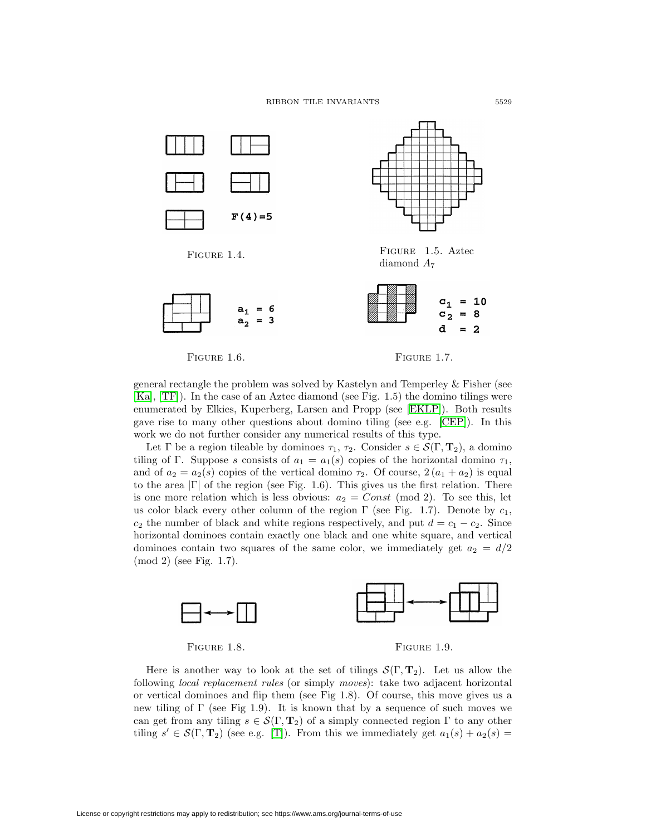

general rectangle the problem was solved by Kastelyn and Temperley & Fisher (see [\[Ka\]](#page-35-4), [\[TF\]](#page-36-1)). In the case of an Aztec diamond (see Fig. 1.5) the domino tilings were enumerated by Elkies, Kuperberg, Larsen and Propp (see [\[EKLP\]](#page-35-5)). Both results gave rise to many other questions about domino tiling (see e.g. [\[CEP\]](#page-35-2)). In this work we do not further consider any numerical results of this type.

Let  $\Gamma$  be a region tileable by dominoes  $\tau_1$ ,  $\tau_2$ . Consider  $s \in \mathcal{S}(\Gamma, \mathbf{T}_2)$ , a domino tiling of Γ. Suppose s consists of  $a_1 = a_1(s)$  copies of the horizontal domino  $\tau_1$ , and of  $a_2 = a_2(s)$  copies of the vertical domino  $\tau_2$ . Of course,  $2(a_1 + a_2)$  is equal to the area  $|\Gamma|$  of the region (see Fig. 1.6). This gives us the first relation. There is one more relation which is less obvious:  $a_2 = Const \pmod{2}$ . To see this, let us color black every other column of the region  $\Gamma$  (see Fig. 1.7). Denote by  $c_1$ ,  $c_2$  the number of black and white regions respectively, and put  $d = c_1 - c_2$ . Since horizontal dominoes contain exactly one black and one white square, and vertical dominoes contain two squares of the same color, we immediately get  $a_2 = d/2$ (mod 2) (see Fig. 1.7).



FIGURE 1.8. FIGURE 1.9.

Here is another way to look at the set of tilings  $S(\Gamma, \mathbf{T}_2)$ . Let us allow the following local replacement rules (or simply moves): take two adjacent horizontal or vertical dominoes and flip them (see Fig 1.8). Of course, this move gives us a new tiling of Γ (see Fig 1.9). It is known that by a sequence of such moves we can get from any tiling  $s \in \mathcal{S}(\Gamma, \mathbf{T}_2)$  of a simply connected region  $\Gamma$  to any other tiling  $s' \in \mathcal{S}(\Gamma, \mathbf{T}_2)$  (see e.g. [\[T\]](#page-36-0)). From this we immediately get  $a_1(s) + a_2(s) =$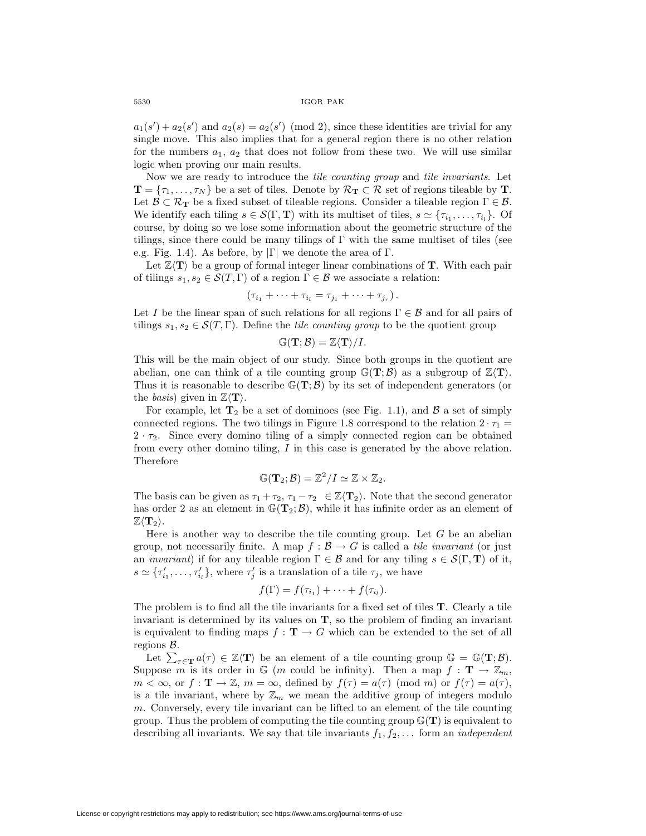$a_1(s') + a_2(s')$  and  $a_2(s) = a_2(s') \pmod{2}$ , since these identities are trivial for any single move. This also implies that for a general region there is no other relation for the numbers  $a_1$ ,  $a_2$  that does not follow from these two. We will use similar logic when proving our main results.

Now we are ready to introduce the tile counting group and tile invariants. Let  $\mathbf{T} = {\tau_1, \ldots, \tau_N}$  be a set of tiles. Denote by  $\mathcal{R}_{\mathbf{T}} \subset \mathcal{R}$  set of regions tileable by **T**. Let  $\mathcal{B} \subset \mathcal{R}_T$  be a fixed subset of tileable regions. Consider a tileable region  $\Gamma \in \mathcal{B}$ . We identify each tiling  $s \in \mathcal{S}(\Gamma, \mathbf{T})$  with its multiset of tiles,  $s \simeq \{\tau_{i_1}, \ldots, \tau_{i_l}\}.$  Of course, by doing so we lose some information about the geometric structure of the tilings, since there could be many tilings of  $\Gamma$  with the same multiset of tiles (see e.g. Fig. 1.4). As before, by  $|\Gamma|$  we denote the area of  $\Gamma$ .

Let  $\mathbb{Z}\langle \mathbf{T} \rangle$  be a group of formal integer linear combinations of **T**. With each pair of tilings  $s_1, s_2 \in \mathcal{S}(T, \Gamma)$  of a region  $\Gamma \in \mathcal{B}$  we associate a relation:

$$
(\tau_{i_1}+\cdots+\tau_{i_l}=\tau_{j_1}+\cdots+\tau_{j_r}).
$$

Let I be the linear span of such relations for all regions  $\Gamma \in \mathcal{B}$  and for all pairs of tilings  $s_1, s_2 \in \mathcal{S}(T, \Gamma)$ . Define the *tile counting group* to be the quotient group

$$
\mathbb{G}(\mathbf{T};\mathcal{B})=\mathbb{Z}\langle \mathbf{T}\rangle/I.
$$

This will be the main object of our study. Since both groups in the quotient are abelian, one can think of a tile counting group  $\mathbb{G}(\mathbf{T}; \mathcal{B})$  as a subgroup of  $\mathbb{Z} \langle \mathbf{T} \rangle$ . Thus it is reasonable to describe  $\mathbb{G}(\mathbf{T}; \mathcal{B})$  by its set of independent generators (or the *basis*) given in  $\mathbb{Z}\langle T \rangle$ .

For example, let  $T_2$  be a set of dominoes (see Fig. 1.1), and  $\beta$  a set of simply connected regions. The two tilings in Figure 1.8 correspond to the relation  $2 \cdot \tau_1 =$  $2 \cdot \tau_2$ . Since every domino tiling of a simply connected region can be obtained from every other domino tiling, I in this case is generated by the above relation. Therefore

$$
\mathbb{G}(\mathbf{T}_2;\mathcal{B})=\mathbb{Z}^2/I\simeq \mathbb{Z}\times \mathbb{Z}_2.
$$

The basis can be given as  $\tau_1 + \tau_2$ ,  $\tau_1 - \tau_2 \in \mathbb{Z}\langle \mathbf{T}_2 \rangle$ . Note that the second generator has order 2 as an element in  $\mathbb{G}(\mathbf{T}_2;\mathcal{B})$ , while it has infinite order as an element of  $\mathbb{Z}\langle \mathbf{T}_2 \rangle$ .

Here is another way to describe the tile counting group. Let  $G$  be an abelian group, not necessarily finite. A map  $f : \mathcal{B} \to G$  is called a *tile invariant* (or just an *invariant*) if for any tileable region  $\Gamma \in \mathcal{B}$  and for any tiling  $s \in \mathcal{S}(\Gamma, \mathbf{T})$  of it,  $s \simeq \{\tau'_{i_1}, \ldots, \tau'_{i_l}\}\,$ , where  $\tau'_j$  is a translation of a tile  $\tau_j$ , we have

$$
f(\Gamma) = f(\tau_{i_1}) + \cdots + f(\tau_{i_l}).
$$

The problem is to find all the tile invariants for a fixed set of tiles **T**. Clearly a tile invariant is determined by its values on **T**, so the problem of finding an invariant is equivalent to finding maps  $f : \mathbf{T} \to G$  which can be extended to the set of all regions B.

Let  $\sum_{\tau \in \mathbf{T}} a(\tau) \in \mathbb{Z}\langle \mathbf{T} \rangle$  be an element of a tile counting group  $\mathbb{G} = \mathbb{G}(\mathbf{T}; \mathcal{B})$ . Suppose m is its order in G (m could be infinity). Then a map  $f : \mathbf{T} \to \mathbb{Z}_m$ ,  $m < \infty$ , or  $f : \mathbf{T} \to \mathbb{Z}$ ,  $m = \infty$ , defined by  $f(\tau) = a(\tau)$  (mod m) or  $f(\tau) = a(\tau)$ , is a tile invariant, where by  $\mathbb{Z}_m$  we mean the additive group of integers modulo m. Conversely, every tile invariant can be lifted to an element of the tile counting group. Thus the problem of computing the tile counting group G(**T**) is equivalent to describing all invariants. We say that tile invariants  $f_1, f_2, \ldots$  form an *independent*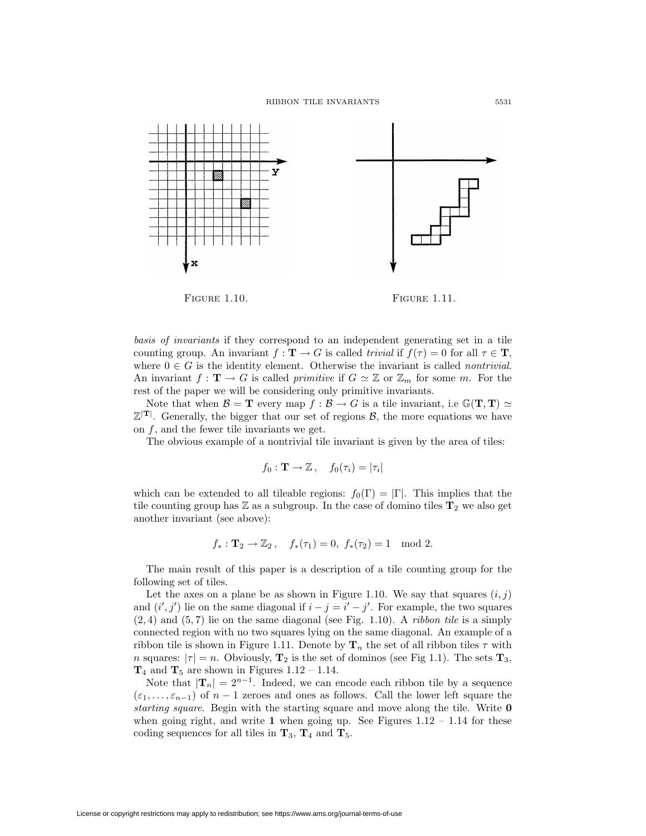

FIGURE 1.10. FIGURE 1.11.

basis of invariants if they correspond to an independent generating set in a tile counting group. An invariant  $f : \mathbf{T} \to G$  is called trivial if  $f(\tau) = 0$  for all  $\tau \in \mathbf{T}$ , where  $0 \in G$  is the identity element. Otherwise the invariant is called *nontrivial*. An invariant  $f: \mathbf{T} \to G$  is called *primitive* if  $G \simeq \mathbb{Z}$  or  $\mathbb{Z}_m$  for some m. For the rest of the paper we will be considering only primitive invariants.

Note that when  $\mathcal{B} = \mathbf{T}$  every map  $f : \mathcal{B} \to G$  is a tile invariant, i.e  $\mathbb{G}(\mathbf{T}, \mathbf{T}) \simeq$  $\mathbb{Z}^{|\mathbf{T}|}$ . Generally, the bigger that our set of regions  $\mathcal{B}$ , the more equations we have on f, and the fewer tile invariants we get.

The obvious example of a nontrivial tile invariant is given by the area of tiles:

$$
f_0: \mathbf{T} \to \mathbb{Z}, \quad f_0(\tau_i) = |\tau_i|
$$

which can be extended to all tileable regions:  $f_0(\Gamma) = |\Gamma|$ . This implies that the tile counting group has  $\mathbb{Z}$  as a subgroup. In the case of domino tiles  $\mathbf{T}_2$  we also get another invariant (see above):

$$
f_*: \mathbf{T}_2 \to \mathbb{Z}_2
$$
,  $f_*(\tau_1) = 0$ ,  $f_*(\tau_2) = 1 \mod 2$ .

The main result of this paper is a description of a tile counting group for the following set of tiles.

Let the axes on a plane be as shown in Figure 1.10. We say that squares  $(i, j)$ and  $(i', j')$  lie on the same diagonal if  $i - j = i' - j'$ . For example, the two squares  $(2, 4)$  and  $(5, 7)$  lie on the same diagonal (see Fig. 1.10). A *ribbon tile* is a simply connected region with no two squares lying on the same diagonal. An example of a ribbon tile is shown in Figure 1.11. Denote by  $\mathbf{T}_n$  the set of all ribbon tiles  $\tau$  with n squares:  $|\tau| = n$ . Obviously,  $\mathbf{T}_2$  is the set of dominos (see Fig 1.1). The sets  $\mathbf{T}_3$ ,  $T_4$  and  $T_5$  are shown in Figures 1.12 – 1.14.

Note that  $|\mathbf{T}_n| = 2^{n-1}$ . Indeed, we can encode each ribbon tile by a sequence  $(\varepsilon_1,\ldots,\varepsilon_{n-1})$  of  $n-1$  zeroes and ones as follows. Call the lower left square the starting square. Begin with the starting square and move along the tile. Write **0** when going right, and write 1 when going up. See Figures  $1.12 - 1.14$  for these coding sequences for all tiles in  $\mathbf{T}_3$ ,  $\mathbf{T}_4$  and  $\mathbf{T}_5$ .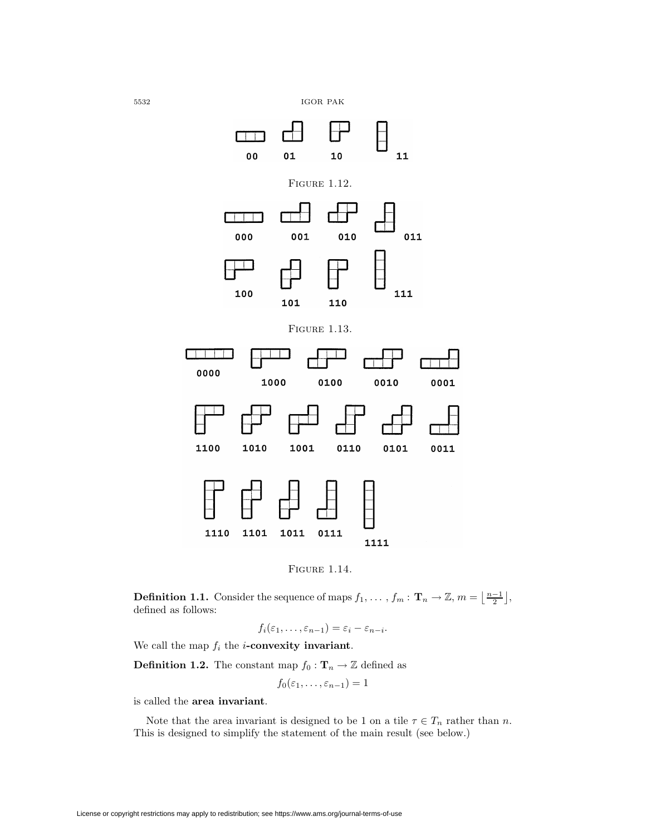

Figure 1.14.

**Definition 1.1.** Consider the sequence of maps  $f_1, \ldots, f_m : \mathbf{T}_n \to \mathbb{Z}, m = \left\lfloor \frac{n-1}{2} \right\rfloor$ , defined as follows:

$$
f_i(\varepsilon_1,\ldots,\varepsilon_{n-1})=\varepsilon_i-\varepsilon_{n-i}.
$$

We call the map  $f_i$  the *i*-convexity invariant.

**Definition 1.2.** The constant map  $f_0: \mathbf{T}_n \to \mathbb{Z}$  defined as

$$
f_0(\varepsilon_1,\ldots,\varepsilon_{n-1})=1
$$

is called the **area invariant**.

Note that the area invariant is designed to be 1 on a tile  $\tau \in T_n$  rather than *n*. This is designed to simplify the statement of the main result (see below.)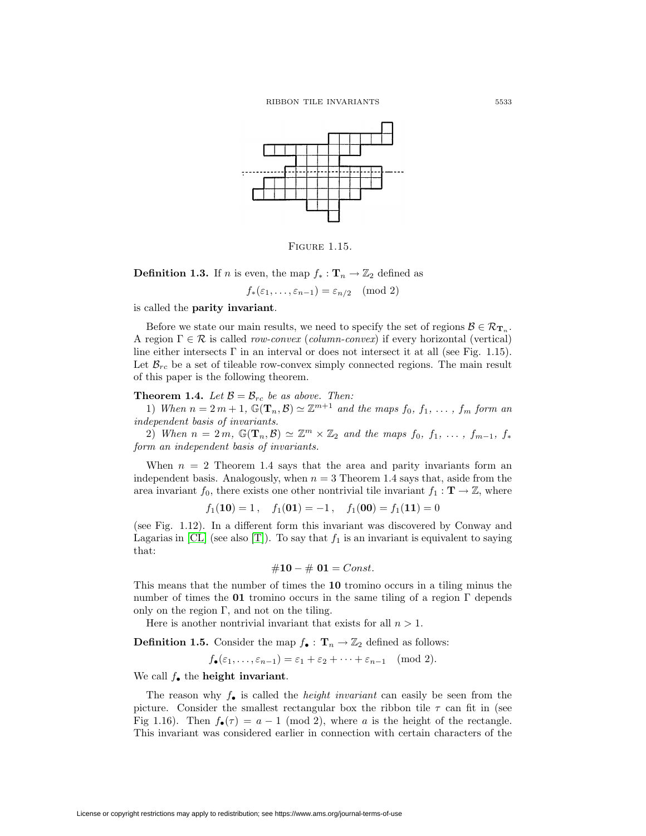

FIGURE 1.15.

**Definition 1.3.** If *n* is even, the map  $f_* : \mathbf{T}_n \to \mathbb{Z}_2$  defined as<br> $f_*(\varepsilon_1, \ldots, \varepsilon_{n-1}) = \varepsilon_n / \infty$  (mod 2)  $f_{\text{re}}(n,1)$  =  $f_{\text{re}}(n,1)$ 

$$
\epsilon_*(\varepsilon_1,\ldots,\varepsilon_{n-1})=\varepsilon_{n/2}\pmod{2}
$$

is called the **parity invariant**.

Before we state our main results, we need to specify the set of regions  $\mathcal{B} \in \mathcal{R}_{\mathbf{T}_n}$ . A region  $\Gamma \in \mathcal{R}$  is called row-convex (column-convex) if every horizontal (vertical) line either intersects  $\Gamma$  in an interval or does not intersect it at all (see Fig. 1.15). Let  $\mathcal{B}_{rc}$  be a set of tileable row-convex simply connected regions. The main result of this paper is the following theorem.

# **Theorem 1.4.** Let  $\mathcal{B} = \mathcal{B}_{rc}$  be as above. Then:

1) When  $n = 2m + 1$ ,  $\mathbb{G}(\mathbf{T}_n, \mathcal{B}) \simeq \mathbb{Z}^{m+1}$  and the maps  $f_0, f_1, \ldots, f_m$  form an independent basis of invariants.

2) When  $n = 2m$ ,  $\mathbb{G}(\mathbf{T}_n, \mathcal{B}) \simeq \mathbb{Z}^m \times \mathbb{Z}_2$  and the maps  $f_0, f_1, \ldots, f_{m-1}, f_*$ form an independent basis of invariants.

When  $n = 2$  Theorem 1.4 says that the area and parity invariants form an independent basis. Analogously, when  $n = 3$  Theorem 1.4 says that, aside from the area invariant  $f_0$ , there exists one other nontrivial tile invariant  $f_1 : \mathbf{T} \to \mathbb{Z}$ , where

$$
f_1(10) = 1
$$
,  $f_1(01) = -1$ ,  $f_1(00) = f_1(11) = 0$ 

(see Fig. 1.12). In a different form this invariant was discovered by Conway and Lagarias in [\[CL\]](#page-35-1) (see also [\[T\]](#page-36-0)). To say that  $f_1$  is an invariant is equivalent to saying that:

$$
\#10 - \#01 = Const.
$$

This means that the number of times the **10** tromino occurs in a tiling minus the number of times the **01** tromino occurs in the same tiling of a region  $\Gamma$  depends only on the region  $\Gamma$ , and not on the tiling.

Here is another nontrivial invariant that exists for all  $n > 1$ .

**Definition 1.5.** Consider the map  $f_{\bullet}$ :  $\mathbf{T}_n \to \mathbb{Z}_2$  defined as follows:

 $f_{\bullet}(\varepsilon_1,\ldots,\varepsilon_{n-1})=\varepsilon_1+\varepsilon_2+\cdots+\varepsilon_{n-1} \pmod{2}.$ 

We call  $f_{\bullet}$  the **height invariant**.

The reason why  $f_{\bullet}$  is called the *height invariant* can easily be seen from the picture. Consider the smallest rectangular box the ribbon tile  $\tau$  can fit in (see Fig 1.16). Then  $f_{\bullet}(\tau) = a - 1 \pmod{2}$ , where a is the height of the rectangle. This invariant was considered earlier in connection with certain characters of the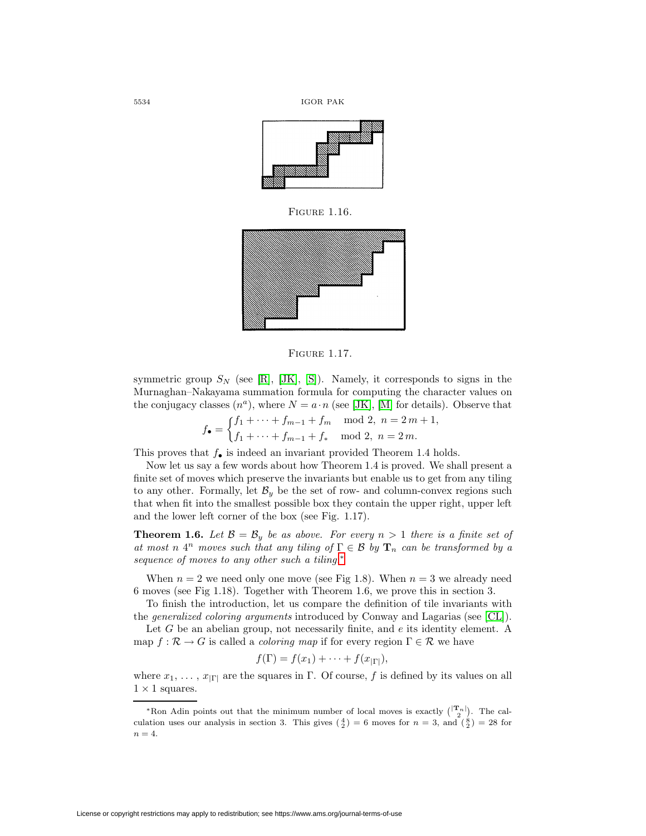5534 IGOR PAK



FIGURE 1.16.



Figure 1.17.

symmetric group  $S_N$  (see [\[R\]](#page-36-2), [\[JK\]](#page-35-6), [\[S\]](#page-36-3)). Namely, it corresponds to signs in the Murnaghan–Nakayama summation formula for computing the character values on the conjugacy classes  $(n^a)$ , where  $N = a \cdot n$  (see [\[JK\]](#page-35-6), [\[M\]](#page-35-7) for details). Observe that

> $f_{\bullet} =$  $\int f_1 + \cdots + f_{m-1} + f_m \mod 2, \ n = 2m + 1,$  $f_1 + \cdots + f_{m-1} + f_* \mod 2, \ n = 2m.$

This proves that  $f_{\bullet}$  is indeed an invariant provided Theorem 1.4 holds.

Now let us say a few words about how Theorem 1.4 is proved. We shall present a finite set of moves which preserve the invariants but enable us to get from any tiling to any other. Formally, let  $\mathcal{B}_y$  be the set of row- and column-convex regions such that when fit into the smallest possible box they contain the upper right, upper left and the lower left corner of the box (see Fig. 1.17).

**Theorem 1.6.** Let  $\mathcal{B} = \mathcal{B}_y$  be as above. For every  $n > 1$  there is a finite set of at most n  $4^n$  moves such that any tiling of  $\Gamma \in \mathcal{B}$  by  $\mathbf{T}_n$  can be transformed by a sequence of moves to any other such a tiling.<sup>[∗](#page-9-0)</sup>

When  $n = 2$  we need only one move (see Fig 1.8). When  $n = 3$  we already need 6 moves (see Fig 1.18). Together with Theorem 1.6, we prove this in section 3.

To finish the introduction, let us compare the definition of tile invariants with the generalized coloring arguments introduced by Conway and Lagarias (see [\[CL\]](#page-35-1)).

Let G be an abelian group, not necessarily finite, and e its identity element. A map  $f : \mathcal{R} \to G$  is called a *coloring map* if for every region  $\Gamma \in \mathcal{R}$  we have

$$
f(\Gamma) = f(x_1) + \cdots + f(x_{|\Gamma|}),
$$

where  $x_1, \ldots, x_{|\Gamma|}$  are the squares in Γ. Of course, f is defined by its values on all  $1 \times 1$  squares.

<span id="page-9-0"></span><sup>\*</sup>Ron Adin points out that the minimum number of local moves is exactly  $\binom{|\mathbf{T}_n|}{2}$ . The calculation uses our analysis in section 3. This gives  $\binom{4}{2} = 6$  moves for  $n = 3$ , and  $\binom{8}{2} = 28$  for  $n = 4$ .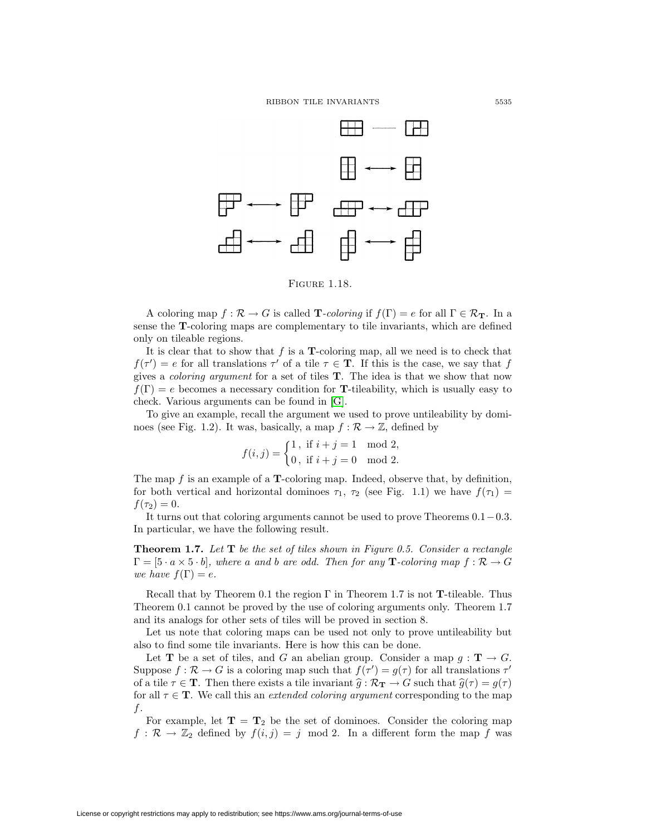

Figure 1.18.

A coloring map  $f : \mathcal{R} \to G$  is called **T**-coloring if  $f(\Gamma) = e$  for all  $\Gamma \in \mathcal{R}_{\mathbf{T}}$ . In a sense the **T**-coloring maps are complementary to tile invariants, which are defined only on tileable regions.

It is clear that to show that  $f$  is a **T**-coloring map, all we need is to check that  $f(\tau') = e$  for all translations  $\tau'$  of a tile  $\tau \in \mathbf{T}$ . If this is the case, we say that f gives a coloring argument for a set of tiles **T**. The idea is that we show that now  $f(\Gamma) = e$  becomes a necessary condition for **T**-tileability, which is usually easy to check. Various arguments can be found in [\[G\]](#page-35-0).

To give an example, recall the argument we used to prove untileability by dominoes (see Fig. 1.2). It was, basically, a map  $f : \mathcal{R} \to \mathbb{Z}$ , defined by

$$
f(i,j) = \begin{cases} 1, & \text{if } i+j = 1 \mod 2, \\ 0, & \text{if } i+j = 0 \mod 2. \end{cases}
$$

The map f is an example of a **T**-coloring map. Indeed, observe that, by definition, for both vertical and horizontal dominoes  $\tau_1$ ,  $\tau_2$  (see Fig. 1.1) we have  $f(\tau_1)$  =  $f(\tau_2) = 0.$ 

It turns out that coloring arguments cannot be used to prove Theorems 0.1−0.3. In particular, we have the following result.

**Theorem 1.7.** Let **T** be the set of tiles shown in Figure 0.5. Consider a rectangle  $\Gamma = [5 \cdot a \times 5 \cdot b]$ , where a and b are odd. Then for any **T**-coloring map  $f : \mathcal{R} \to G$ we have  $f(\Gamma) = e$ .

Recall that by Theorem 0.1 the region Γ in Theorem 1.7 is not **T**-tileable. Thus Theorem 0.1 cannot be proved by the use of coloring arguments only. Theorem 1.7 and its analogs for other sets of tiles will be proved in section 8.

Let us note that coloring maps can be used not only to prove untileability but also to find some tile invariants. Here is how this can be done.

Let **T** be a set of tiles, and G an abelian group. Consider a map  $q : \mathbf{T} \to G$ . Suppose  $f : \mathcal{R} \to G$  is a coloring map such that  $f(\tau') = g(\tau)$  for all translations  $\tau'$ of a tile  $\tau \in \mathbf{T}$ . Then there exists a tile invariant  $\hat{g} : \mathcal{R}_{\mathbf{T}} \to G$  such that  $\hat{g}(\tau) = g(\tau)$ for all  $\tau \in \mathbf{T}$ . We call this an *extended coloring argument* corresponding to the map  $f$ .

For example, let  $T = T_2$  be the set of dominoes. Consider the coloring map  $f: \mathcal{R} \to \mathbb{Z}_2$  defined by  $f(i, j) = j \mod 2$ . In a different form the map f was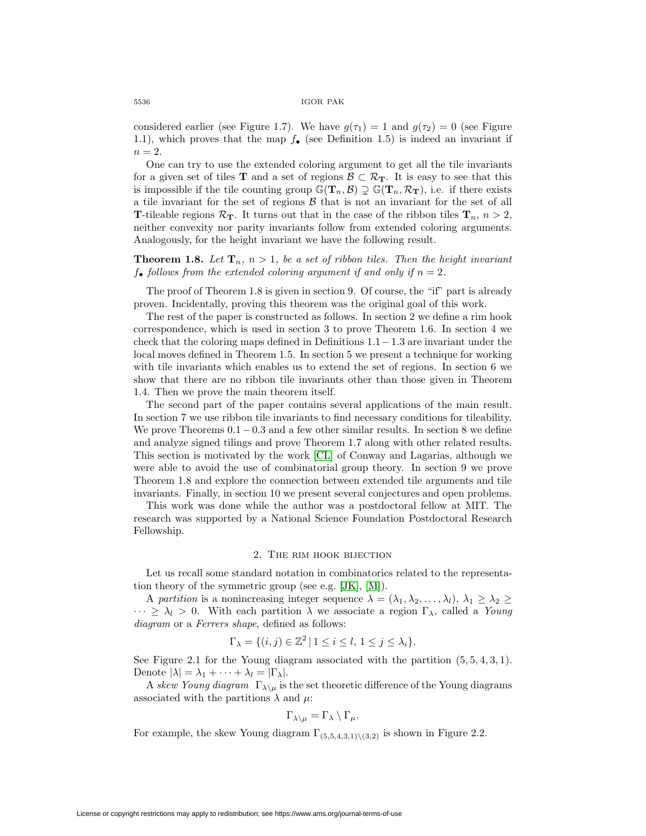considered earlier (see Figure 1.7). We have  $g(\tau_1) = 1$  and  $g(\tau_2) = 0$  (see Figure 1.1), which proves that the map  $f_{\bullet}$  (see Definition 1.5) is indeed an invariant if  $n=2.$ 

One can try to use the extended coloring argument to get all the tile invariants for a given set of tiles **T** and a set of regions  $\mathcal{B} \subset \mathcal{R}_T$ . It is easy to see that this is impossible if the tile counting group  $\mathbb{G}(\mathbf{T}_n, \mathcal{B}) \supsetneq \mathbb{G}(\mathbf{T}_n, \mathcal{R}_{\mathbf{T}})$ , i.e. if there exists a tile invariant for the set of regions  $\beta$  that is not an invariant for the set of all **T**-tileable regions  $\mathcal{R}_T$ . It turns out that in the case of the ribbon tiles  $\mathbf{T}_n$ ,  $n > 2$ , neither convexity nor parity invariants follow from extended coloring arguments. Analogously, for the height invariant we have the following result.

**Theorem 1.8.** Let  $\mathbf{T}_n$ ,  $n > 1$ , be a set of ribbon tiles. Then the height invariant  $f_{\bullet}$  follows from the extended coloring argument if and only if  $n = 2$ .

The proof of Theorem 1.8 is given in section 9. Of course, the "if" part is already proven. Incidentally, proving this theorem was the original goal of this work.

The rest of the paper is constructed as follows. In section 2 we define a rim hook correspondence, which is used in section 3 to prove Theorem 1.6. In section 4 we check that the coloring maps defined in Definitions  $1.1-1.3$  are invariant under the local moves defined in Theorem 1.5. In section 5 we present a technique for working with tile invariants which enables us to extend the set of regions. In section 6 we show that there are no ribbon tile invariants other than those given in Theorem 1.4. Then we prove the main theorem itself.

The second part of the paper contains several applications of the main result. In section 7 we use ribbon tile invariants to find necessary conditions for tileability. We prove Theorems  $0.1-0.3$  and a few other similar results. In section 8 we define and analyze signed tilings and prove Theorem 1.7 along with other related results. This section is motivated by the work [\[CL\]](#page-35-1) of Conway and Lagarias, although we were able to avoid the use of combinatorial group theory. In section 9 we prove Theorem 1.8 and explore the connection between extended tile arguments and tile invariants. Finally, in section 10 we present several conjectures and open problems.

This work was done while the author was a postdoctoral fellow at MIT. The research was supported by a National Science Foundation Postdoctoral Research Fellowship.

#### 2. The rim hook bijection

Let us recall some standard notation in combinatorics related to the representation theory of the symmetric group (see e.g. [\[JK\]](#page-35-6), [\[M\]](#page-35-7)).

A partition is a nonincreasing integer sequence  $\lambda = (\lambda_1, \lambda_2, \ldots, \lambda_l), \lambda_1 \geq \lambda_2 \geq$  $\cdots \geq \lambda_l > 0$ . With each partition  $\lambda$  we associate a region  $\Gamma_{\lambda}$ , called a Young diagram or a Ferrers shape, defined as follows:

$$
\Gamma_{\lambda} = \{ (i,j) \in \mathbb{Z}^2 \mid 1 \le i \le l, 1 \le j \le \lambda_i \}.
$$

See Figure 2.1 for the Young diagram associated with the partition  $(5, 5, 4, 3, 1)$ . Denote  $|\lambda| = \lambda_1 + \cdots + \lambda_l = |\Gamma_{\lambda}|.$ 

A skew Young diagram  $\Gamma_{\lambda\setminus\mu}$  is the set theoretic difference of the Young diagrams associated with the partitions  $\lambda$  and  $\mu$ :

$$
\Gamma_{\lambda\setminus\mu}=\Gamma_{\lambda}\setminus\Gamma_{\mu}.
$$

For example, the skew Young diagram  $\Gamma_{(5,5,4,3,1)\setminus(3,2)}$  is shown in Figure 2.2.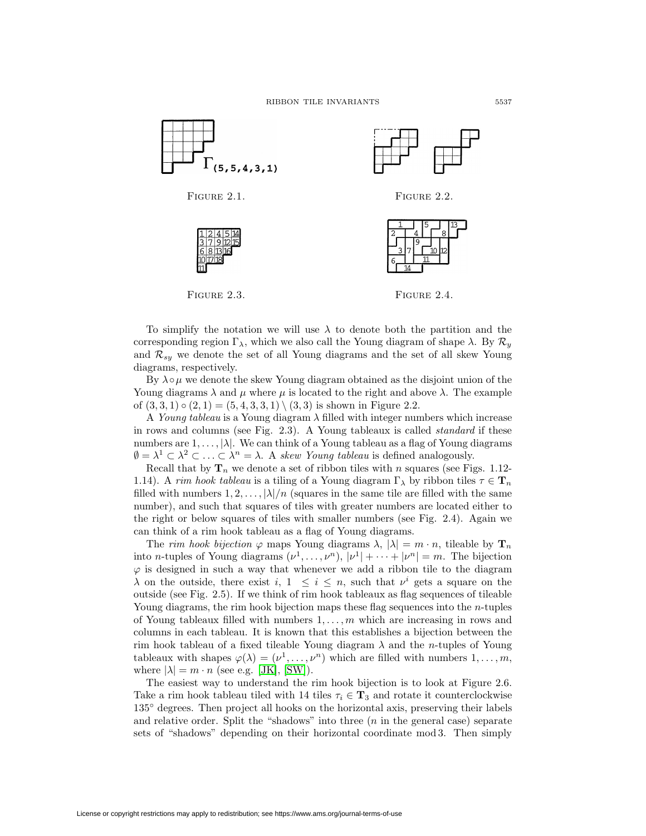

To simplify the notation we will use  $\lambda$  to denote both the partition and the corresponding region  $\Gamma_{\lambda}$ , which we also call the Young diagram of shape  $\lambda$ . By  $\mathcal{R}_{\nu}$ and  $\mathcal{R}_{sy}$  we denote the set of all Young diagrams and the set of all skew Young diagrams, respectively.

By  $\lambda \circ \mu$  we denote the skew Young diagram obtained as the disjoint union of the Young diagrams  $\lambda$  and  $\mu$  where  $\mu$  is located to the right and above  $\lambda$ . The example of  $(3,3,1) \circ (2,1) = (5,4,3,3,1) \setminus (3,3)$  is shown in Figure 2.2.

A Young tableau is a Young diagram  $\lambda$  filled with integer numbers which increase in rows and columns (see Fig. 2.3). A Young tableaux is called standard if these numbers are  $1, \ldots, |\lambda|$ . We can think of a Young tableau as a flag of Young diagrams  $\emptyset = \lambda^1 \subset \lambda^2 \subset \ldots \subset \lambda^n = \lambda$ . A skew Young tableau is defined analogously.

Recall that by  $\mathbf{T}_n$  we denote a set of ribbon tiles with n squares (see Figs. 1.12-1.14). A rim hook tableau is a tiling of a Young diagram  $\Gamma_{\lambda}$  by ribbon tiles  $\tau \in \mathbf{T}_n$ filled with numbers  $1, 2, \ldots, |\lambda|/n$  (squares in the same tile are filled with the same number), and such that squares of tiles with greater numbers are located either to the right or below squares of tiles with smaller numbers (see Fig. 2.4). Again we can think of a rim hook tableau as a flag of Young diagrams.

The rim hook bijection  $\varphi$  maps Young diagrams  $\lambda$ ,  $|\lambda| = m \cdot n$ , tileable by  $\mathbf{T}_n$ into *n*-tuples of Young diagrams  $(\nu^1, \ldots, \nu^n), |\nu^1| + \cdots + |\nu^n| = m$ . The bijection  $\varphi$  is designed in such a way that whenever we add a ribbon tile to the diagram  $\lambda$  on the outside, there exist i,  $1 \leq i \leq n$ , such that  $\nu^{i}$  gets a square on the outside (see Fig. 2.5). If we think of rim hook tableaux as flag sequences of tileable Young diagrams, the rim hook bijection maps these flag sequences into the *n*-tuples of Young tableaux filled with numbers  $1, \ldots, m$  which are increasing in rows and columns in each tableau. It is known that this establishes a bijection between the rim hook tableau of a fixed tileable Young diagram  $\lambda$  and the *n*-tuples of Young tableaux with shapes  $\varphi(\lambda)=(\nu^1,\ldots,\nu^n)$  which are filled with numbers  $1,\ldots,m$ , where  $|\lambda| = m \cdot n$  (see e.g. [\[JK\]](#page-35-6), [\[SW\]](#page-36-4)).

The easiest way to understand the rim hook bijection is to look at Figure 2.6. Take a rim hook tableau tiled with 14 tiles  $\tau_i \in \mathbf{T}_3$  and rotate it counterclockwise 135◦ degrees. Then project all hooks on the horizontal axis, preserving their labels and relative order. Split the "shadows" into three  $(n \text{ in the general case})$  separate sets of "shadows" depending on their horizontal coordinate mod 3. Then simply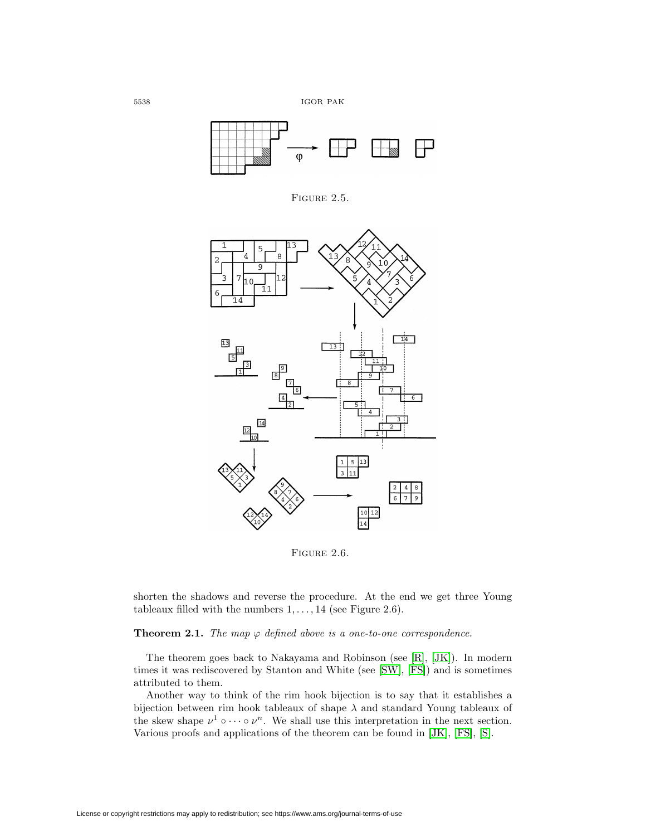

FIGURE 2.5.



FIGURE 2.6.

shorten the shadows and reverse the procedure. At the end we get three Young tableaux filled with the numbers  $1, \ldots, 14$  (see Figure 2.6).

# **Theorem 2.1.** The map  $\varphi$  defined above is a one-to-one correspondence.

The theorem goes back to Nakayama and Robinson (see [\[R\]](#page-36-2), [\[JK\]](#page-35-6)). In modern times it was rediscovered by Stanton and White (see [\[SW\]](#page-36-4), [\[FS\]](#page-35-8)) and is sometimes attributed to them.

Another way to think of the rim hook bijection is to say that it establishes a bijection between rim hook tableaux of shape  $\lambda$  and standard Young tableaux of the skew shape  $\nu^1 \circ \cdots \circ \nu^n$ . We shall use this interpretation in the next section. Various proofs and applications of the theorem can be found in [\[JK\]](#page-35-6), [\[FS\]](#page-35-8), [\[S\]](#page-36-3).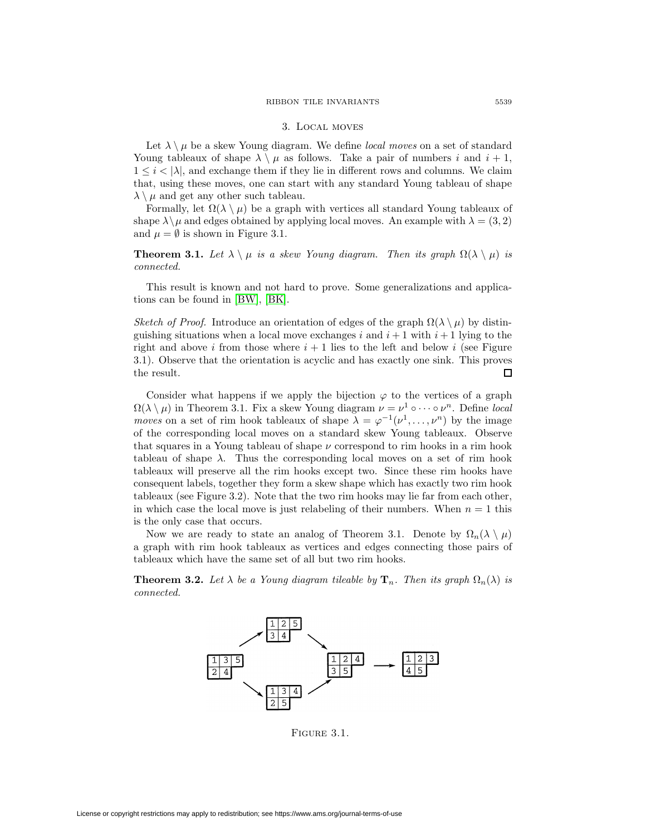#### 3. Local moves

Let  $\lambda \setminus \mu$  be a skew Young diagram. We define *local moves* on a set of standard Young tableaux of shape  $\lambda \setminus \mu$  as follows. Take a pair of numbers i and  $i + 1$ ,  $1 \leq i < |\lambda|$ , and exchange them if they lie in different rows and columns. We claim that, using these moves, one can start with any standard Young tableau of shape  $\lambda \setminus \mu$  and get any other such tableau.

Formally, let  $\Omega(\lambda \setminus \mu)$  be a graph with vertices all standard Young tableaux of shape  $\lambda \setminus \mu$  and edges obtained by applying local moves. An example with  $\lambda = (3, 2)$ and  $\mu = \emptyset$  is shown in Figure 3.1.

**Theorem 3.1.** Let  $\lambda \setminus \mu$  is a skew Young diagram. Then its graph  $\Omega(\lambda \setminus \mu)$  is connected.

This result is known and not hard to prove. Some generalizations and applications can be found in [\[BW\]](#page-35-9), [\[BK\]](#page-35-10).

Sketch of Proof. Introduce an orientation of edges of the graph  $\Omega(\lambda \setminus \mu)$  by distinguishing situations when a local move exchanges i and  $i + 1$  with  $i + 1$  lying to the right and above i from those where  $i + 1$  lies to the left and below i (see Figure 3.1). Observe that the orientation is acyclic and has exactly one sink. This proves the result. 口

Consider what happens if we apply the bijection  $\varphi$  to the vertices of a graph  $\Omega(\lambda \setminus \mu)$  in Theorem 3.1. Fix a skew Young diagram  $\nu = \nu^1 \circ \cdots \circ \nu^n$ . Define local moves on a set of rim hook tableaux of shape  $\lambda = \varphi^{-1}(\nu^1,\ldots,\nu^n)$  by the image of the corresponding local moves on a standard skew Young tableaux. Observe that squares in a Young tableau of shape  $\nu$  correspond to rim hooks in a rim hook tableau of shape  $\lambda$ . Thus the corresponding local moves on a set of rim hook tableaux will preserve all the rim hooks except two. Since these rim hooks have consequent labels, together they form a skew shape which has exactly two rim hook tableaux (see Figure 3.2). Note that the two rim hooks may lie far from each other, in which case the local move is just relabeling of their numbers. When  $n = 1$  this is the only case that occurs.

Now we are ready to state an analog of Theorem 3.1. Denote by  $\Omega_n(\lambda \setminus \mu)$ a graph with rim hook tableaux as vertices and edges connecting those pairs of tableaux which have the same set of all but two rim hooks.

**Theorem 3.2.** Let  $\lambda$  be a Young diagram tileable by  $\mathbf{T}_n$ . Then its graph  $\Omega_n(\lambda)$  is connected.



FIGURE 3.1.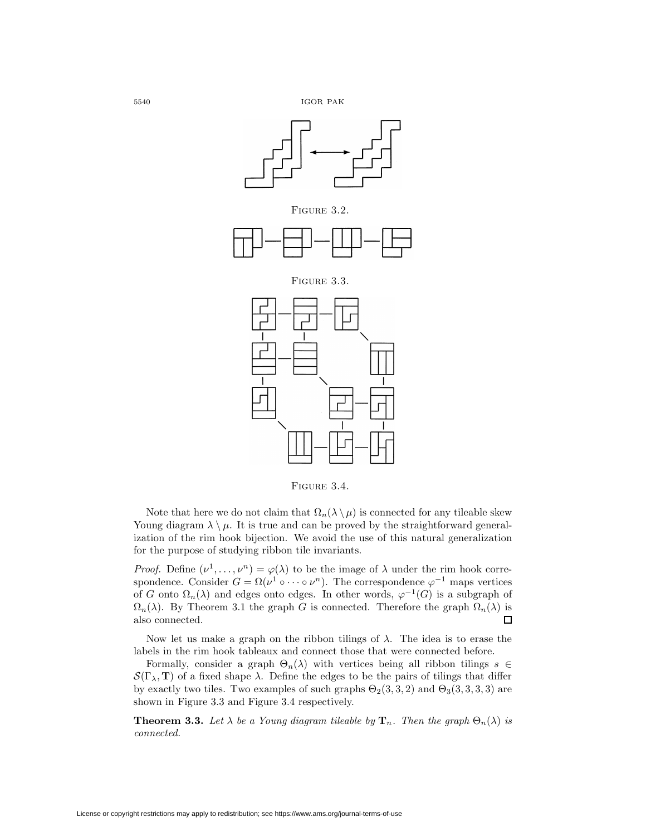

FIGURE 3.4.

Note that here we do not claim that  $\Omega_n(\lambda \setminus \mu)$  is connected for any tileable skew Young diagram  $\lambda \setminus \mu$ . It is true and can be proved by the straightforward generalization of the rim hook bijection. We avoid the use of this natural generalization for the purpose of studying ribbon tile invariants.

*Proof.* Define  $(\nu^1, \ldots, \nu^n) = \varphi(\lambda)$  to be the image of  $\lambda$  under the rim hook correspondence. Consider  $G = \Omega(\nu^1 \circ \cdots \circ \nu^n)$ . The correspondence  $\varphi^{-1}$  maps vertices of G onto  $\Omega_n(\lambda)$  and edges onto edges. In other words,  $\varphi^{-1}(G)$  is a subgraph of  $\Omega_n(\lambda)$ . By Theorem 3.1 the graph G is connected. Therefore the graph  $\Omega_n(\lambda)$  is also connected.  $\Box$ 

Now let us make a graph on the ribbon tilings of  $\lambda$ . The idea is to erase the labels in the rim hook tableaux and connect those that were connected before.

Formally, consider a graph  $\Theta_n(\lambda)$  with vertices being all ribbon tilings  $s \in \Theta$  $\mathcal{S}(\Gamma_{\lambda}, \mathbf{T})$  of a fixed shape  $\lambda$ . Define the edges to be the pairs of tilings that differ by exactly two tiles. Two examples of such graphs  $\Theta_2(3,3,2)$  and  $\Theta_3(3,3,3,3)$  are shown in Figure 3.3 and Figure 3.4 respectively.

**Theorem 3.3.** Let  $\lambda$  be a Young diagram tileable by  $\mathbf{T}_n$ . Then the graph  $\Theta_n(\lambda)$  is connected.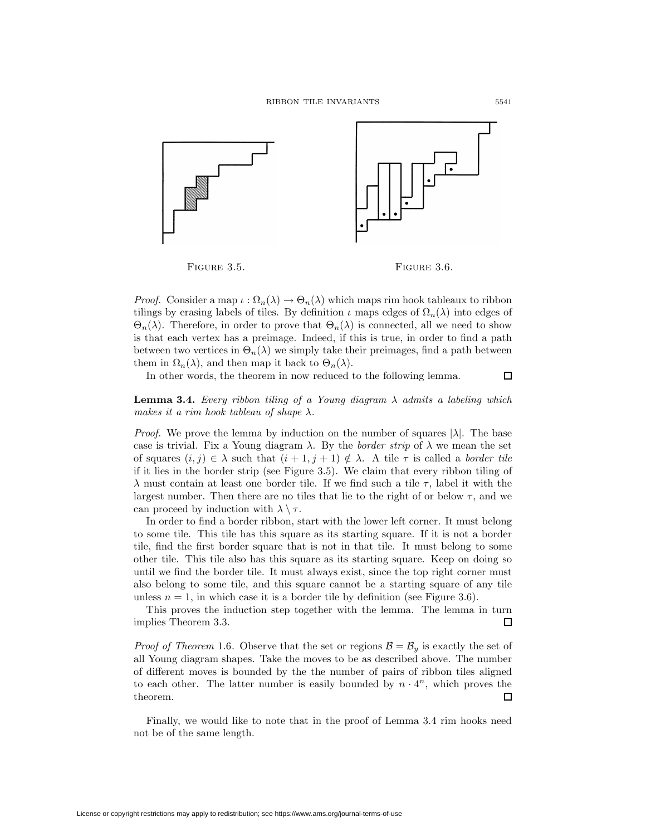

FIGURE 3.5. FIGURE 3.6.

*Proof.* Consider a map  $\iota : \Omega_n(\lambda) \to \Theta_n(\lambda)$  which maps rim hook tableaux to ribbon tilings by erasing labels of tiles. By definition  $\iota$  maps edges of  $\Omega_n(\lambda)$  into edges of  $\Theta_n(\lambda)$ . Therefore, in order to prove that  $\Theta_n(\lambda)$  is connected, all we need to show is that each vertex has a preimage. Indeed, if this is true, in order to find a path between two vertices in  $\Theta_n(\lambda)$  we simply take their preimages, find a path between them in  $\Omega_n(\lambda)$ , and then map it back to  $\Theta_n(\lambda)$ .

In other words, the theorem in now reduced to the following lemma.

 $\Box$ 

**Lemma 3.4.** Every ribbon tiling of a Young diagram  $\lambda$  admits a labeling which makes it a rim hook tableau of shape  $\lambda$ .

*Proof.* We prove the lemma by induction on the number of squares  $|\lambda|$ . The base case is trivial. Fix a Young diagram  $\lambda$ . By the *border strip* of  $\lambda$  we mean the set of squares  $(i, j) \in \lambda$  such that  $(i + 1, j + 1) \notin \lambda$ . A tile  $\tau$  is called a border tile if it lies in the border strip (see Figure 3.5). We claim that every ribbon tiling of λ must contain at least one border tile. If we find such a tile τ, label it with the largest number. Then there are no tiles that lie to the right of or below  $\tau$ , and we can proceed by induction with  $\lambda \setminus \tau$ .

In order to find a border ribbon, start with the lower left corner. It must belong to some tile. This tile has this square as its starting square. If it is not a border tile, find the first border square that is not in that tile. It must belong to some other tile. This tile also has this square as its starting square. Keep on doing so until we find the border tile. It must always exist, since the top right corner must also belong to some tile, and this square cannot be a starting square of any tile unless  $n = 1$ , in which case it is a border tile by definition (see Figure 3.6).

This proves the induction step together with the lemma. The lemma in turn implies Theorem 3.3. 口

*Proof of Theorem* 1.6. Observe that the set or regions  $\mathcal{B} = \mathcal{B}_y$  is exactly the set of all Young diagram shapes. Take the moves to be as described above. The number of different moves is bounded by the the number of pairs of ribbon tiles aligned to each other. The latter number is easily bounded by  $n \cdot 4^n$ , which proves the theorem. 口

Finally, we would like to note that in the proof of Lemma 3.4 rim hooks need not be of the same length.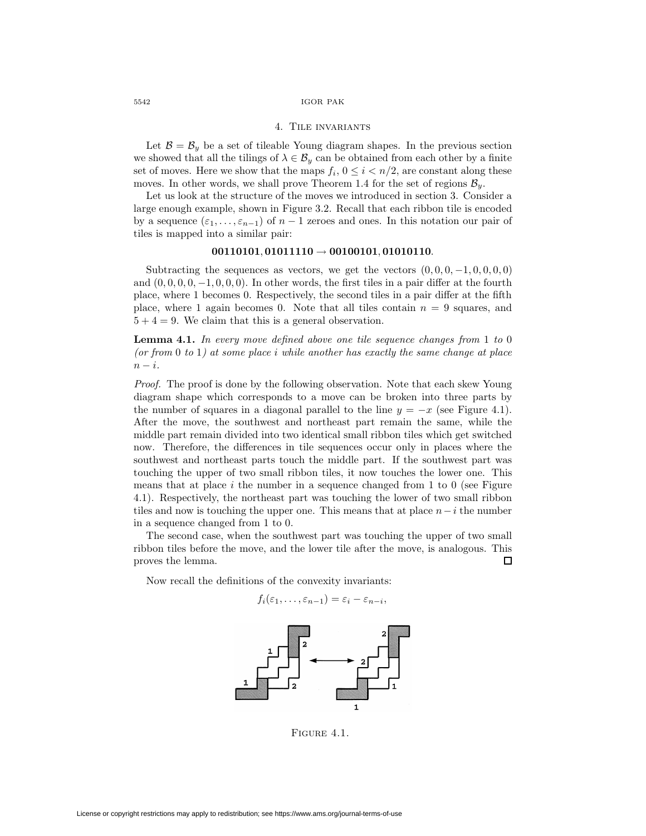#### 5542 IGOR PAK

### 4. Tile invariants

Let  $\mathcal{B} = \mathcal{B}_y$  be a set of tileable Young diagram shapes. In the previous section we showed that all the tilings of  $\lambda \in \mathcal{B}_y$  can be obtained from each other by a finite set of moves. Here we show that the maps  $f_i$ ,  $0 \leq i \leq n/2$ , are constant along these moves. In other words, we shall prove Theorem 1.4 for the set of regions  $\mathcal{B}_y$ .

Let us look at the structure of the moves we introduced in section 3. Consider a large enough example, shown in Figure 3.2. Recall that each ribbon tile is encoded by a sequence  $(\varepsilon_1,\ldots,\varepsilon_{n-1})$  of  $n-1$  zeroes and ones. In this notation our pair of tiles is mapped into a similar pair:

### **00110101**, **01011110** → **00100101**, **01010110**.

Subtracting the sequences as vectors, we get the vectors  $(0, 0, 0, -1, 0, 0, 0, 0)$ and  $(0, 0, 0, 0, -1, 0, 0, 0)$ . In other words, the first tiles in a pair differ at the fourth place, where 1 becomes 0. Respectively, the second tiles in a pair differ at the fifth place, where 1 again becomes 0. Note that all tiles contain  $n = 9$  squares, and  $5 + 4 = 9$ . We claim that this is a general observation.

**Lemma 4.1.** In every move defined above one tile sequence changes from 1 to 0 (or from  $0$  to  $1$ ) at some place i while another has exactly the same change at place  $n - i$ .

Proof. The proof is done by the following observation. Note that each skew Young diagram shape which corresponds to a move can be broken into three parts by the number of squares in a diagonal parallel to the line  $y = -x$  (see Figure 4.1). After the move, the southwest and northeast part remain the same, while the middle part remain divided into two identical small ribbon tiles which get switched now. Therefore, the differences in tile sequences occur only in places where the southwest and northeast parts touch the middle part. If the southwest part was touching the upper of two small ribbon tiles, it now touches the lower one. This means that at place  $i$  the number in a sequence changed from 1 to 0 (see Figure 4.1). Respectively, the northeast part was touching the lower of two small ribbon tiles and now is touching the upper one. This means that at place  $n-i$  the number in a sequence changed from 1 to 0.

The second case, when the southwest part was touching the upper of two small ribbon tiles before the move, and the lower tile after the move, is analogous. This proves the lemma. □

Now recall the definitions of the convexity invariants:

$$
f_i(\varepsilon_1,\ldots,\varepsilon_{n-1})=\varepsilon_i-\varepsilon_{n-i},
$$



FIGURE 4.1.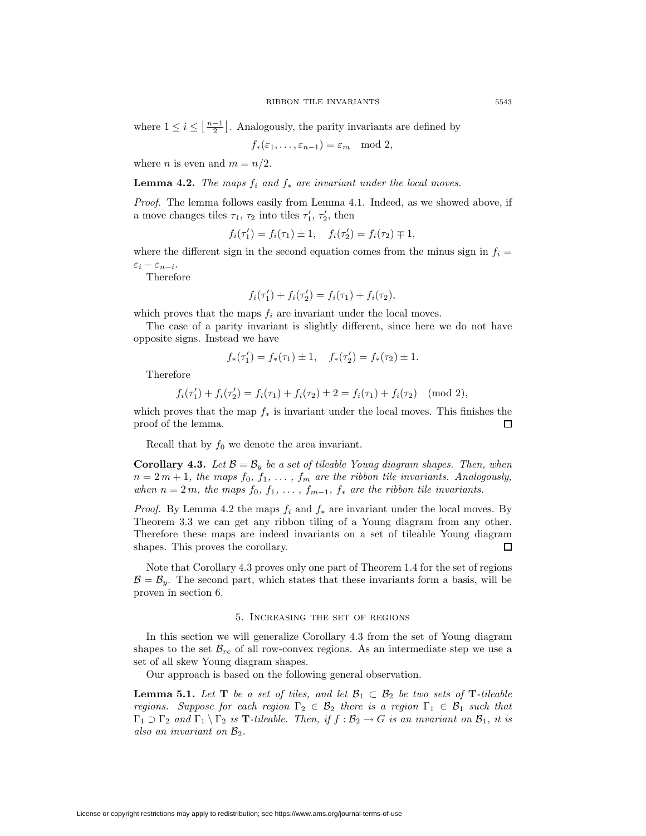where  $1 \leq i \leq \lfloor \frac{n-1}{2} \rfloor$ . Analogously, the parity invariants are defined by

$$
f_*(\varepsilon_1,\ldots,\varepsilon_{n-1})=\varepsilon_m\mod 2,
$$

where *n* is even and  $m = n/2$ .

**Lemma 4.2.** The maps  $f_i$  and  $f_*$  are invariant under the local moves.

Proof. The lemma follows easily from Lemma 4.1. Indeed, as we showed above, if a move changes tiles  $\tau_1$ ,  $\tau_2$  into tiles  $\tau'_1$ ,  $\tau'_2$ , then

$$
f_i(\tau'_1) = f_i(\tau_1) \pm 1
$$
,  $f_i(\tau'_2) = f_i(\tau_2) \mp 1$ ,

where the different sign in the second equation comes from the minus sign in  $f_i =$  $\varepsilon_i - \varepsilon_{n-i}.$ 

Therefore

$$
f_i(\tau'_1) + f_i(\tau'_2) = f_i(\tau_1) + f_i(\tau_2),
$$

which proves that the maps  $f_i$  are invariant under the local moves.

The case of a parity invariant is slightly different, since here we do not have opposite signs. Instead we have

$$
f_*(\tau'_1) = f_*(\tau_1) \pm 1, \quad f_*(\tau'_2) = f_*(\tau_2) \pm 1.
$$

Therefore

$$
f_i(\tau_1') + f_i(\tau_2') = f_i(\tau_1) + f_i(\tau_2) \pm 2 = f_i(\tau_1) + f_i(\tau_2) \pmod{2},
$$

which proves that the map  $f_*$  is invariant under the local moves. This finishes the proof of the lemma. proof of the lemma.

Recall that by  $f_0$  we denote the area invariant.

**Corollary 4.3.** Let  $\mathcal{B} = \mathcal{B}_y$  be a set of tileable Young diagram shapes. Then, when  $n = 2 m + 1$ , the maps  $f_0, f_1, \ldots, f_m$  are the ribbon tile invariants. Analogously, when  $n = 2m$ , the maps  $f_0, f_1, \ldots, f_{m-1}, f_*$  are the ribbon tile invariants.

*Proof.* By Lemma 4.2 the maps  $f_i$  and  $f_*$  are invariant under the local moves. By Theorem 3.3 we can get any ribbon tiling of a Young diagram from any other. Therefore these maps are indeed invariants on a set of tileable Young diagram shapes. This proves the corollary. П

Note that Corollary 4.3 proves only one part of Theorem 1.4 for the set of regions  $\mathcal{B} = \mathcal{B}_y$ . The second part, which states that these invariants form a basis, will be proven in section 6.

#### 5. Increasing the set of regions

In this section we will generalize Corollary 4.3 from the set of Young diagram shapes to the set  $\mathcal{B}_{rc}$  of all row-convex regions. As an intermediate step we use a set of all skew Young diagram shapes.

Our approach is based on the following general observation.

**Lemma 5.1.** Let **T** be a set of tiles, and let  $\mathcal{B}_1 \subset \mathcal{B}_2$  be two sets of **T**-tileable regions. Suppose for each region  $\Gamma_2 \in \mathcal{B}_2$  there is a region  $\Gamma_1 \in \mathcal{B}_1$  such that  $\Gamma_1 \supset \Gamma_2$  and  $\Gamma_1 \setminus \Gamma_2$  is **T**-tileable. Then, if  $f : \mathcal{B}_2 \to G$  is an invariant on  $\mathcal{B}_1$ , it is also an invariant on  $\mathcal{B}_2$ .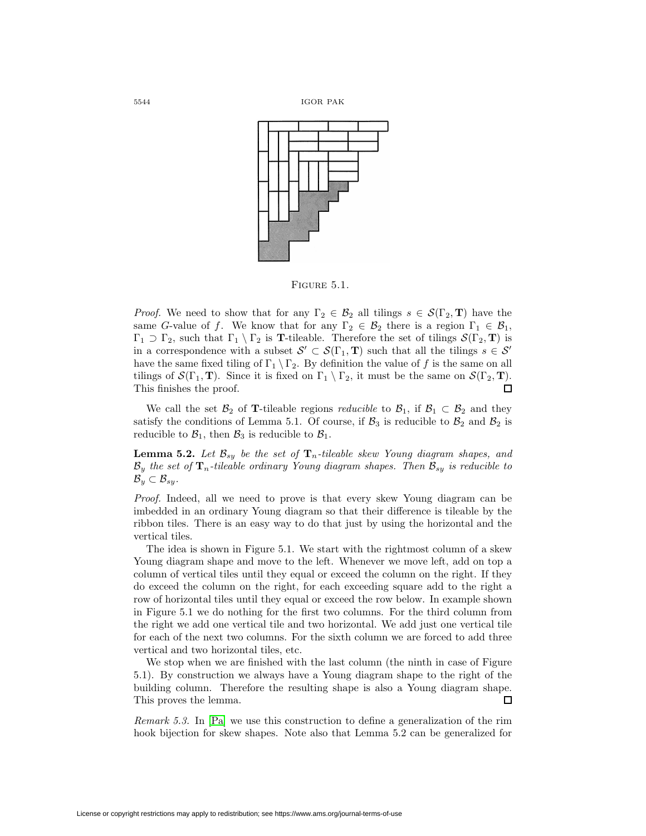5544 IGOR PAK



FIGURE 5.1.

*Proof.* We need to show that for any  $\Gamma_2 \in \mathcal{B}_2$  all tilings  $s \in \mathcal{S}(\Gamma_2, \mathbf{T})$  have the same G-value of f. We know that for any  $\Gamma_2 \in \mathcal{B}_2$  there is a region  $\Gamma_1 \in \mathcal{B}_1$ ,  $\Gamma_1 \supset \Gamma_2$ , such that  $\Gamma_1 \setminus \Gamma_2$  is **T**-tileable. Therefore the set of tilings  $\mathcal{S}(\Gamma_2, \mathbf{T})$  is in a correspondence with a subset  $\mathcal{S}' \subset \mathcal{S}(\Gamma_1, \mathbf{T})$  such that all the tilings  $s \in \mathcal{S}'$ have the same fixed tiling of  $\Gamma_1 \setminus \Gamma_2$ . By definition the value of f is the same on all tilings of  $\mathcal{S}(\Gamma_1, \mathbf{T})$ . Since it is fixed on  $\Gamma_1 \setminus \Gamma_2$ , it must be the same on  $\mathcal{S}(\Gamma_2, \mathbf{T})$ . This finishes the proof. 口

We call the set  $\mathcal{B}_2$  of **T**-tileable regions *reducible* to  $\mathcal{B}_1$ , if  $\mathcal{B}_1 \subset \mathcal{B}_2$  and they satisfy the conditions of Lemma 5.1. Of course, if  $\mathcal{B}_3$  is reducible to  $\mathcal{B}_2$  and  $\mathcal{B}_2$  is reducible to  $\mathcal{B}_1$ , then  $\mathcal{B}_3$  is reducible to  $\mathcal{B}_1$ .

**Lemma 5.2.** Let  $\mathcal{B}_{sy}$  be the set of  $\mathbf{T}_n$ -tileable skew Young diagram shapes, and  $\mathcal{B}_y$  the set of  $\mathbf{T}_n$ -tileable ordinary Young diagram shapes. Then  $\mathcal{B}_{sy}$  is reducible to  $\mathcal{B}_y \subset \mathcal{B}_{sy}$ .

Proof. Indeed, all we need to prove is that every skew Young diagram can be imbedded in an ordinary Young diagram so that their difference is tileable by the ribbon tiles. There is an easy way to do that just by using the horizontal and the vertical tiles.

The idea is shown in Figure 5.1. We start with the rightmost column of a skew Young diagram shape and move to the left. Whenever we move left, add on top a column of vertical tiles until they equal or exceed the column on the right. If they do exceed the column on the right, for each exceeding square add to the right a row of horizontal tiles until they equal or exceed the row below. In example shown in Figure 5.1 we do nothing for the first two columns. For the third column from the right we add one vertical tile and two horizontal. We add just one vertical tile for each of the next two columns. For the sixth column we are forced to add three vertical and two horizontal tiles, etc.

We stop when we are finished with the last column (the ninth in case of Figure 5.1). By construction we always have a Young diagram shape to the right of the building column. Therefore the resulting shape is also a Young diagram shape. This proves the lemma.  $\Box$ 

Remark 5.3. In [\[Pa\]](#page-35-11) we use this construction to define a generalization of the rim hook bijection for skew shapes. Note also that Lemma 5.2 can be generalized for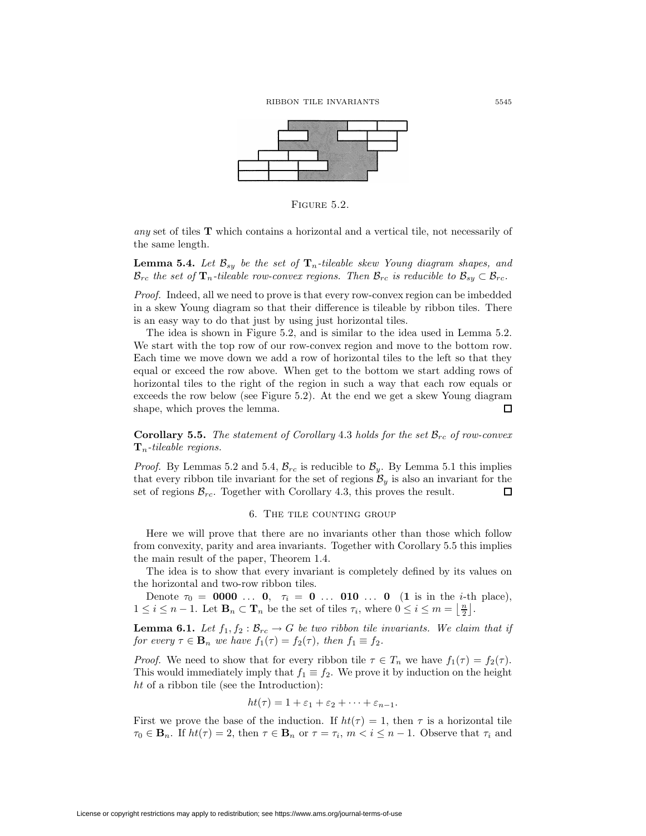

FIGURE 5.2.

any set of tiles **T** which contains a horizontal and a vertical tile, not necessarily of the same length.

**Lemma 5.4.** Let  $\mathcal{B}_{sv}$  be the set of  $\mathbf{T}_n$ -tileable skew Young diagram shapes, and  $\mathcal{B}_{rc}$  the set of  $\mathbf{T}_n$ -tileable row-convex regions. Then  $\mathcal{B}_{rc}$  is reducible to  $\mathcal{B}_{sy} \subset \mathcal{B}_{rc}$ .

Proof. Indeed, all we need to prove is that every row-convex region can be imbedded in a skew Young diagram so that their difference is tileable by ribbon tiles. There is an easy way to do that just by using just horizontal tiles.

The idea is shown in Figure 5.2, and is similar to the idea used in Lemma 5.2. We start with the top row of our row-convex region and move to the bottom row. Each time we move down we add a row of horizontal tiles to the left so that they equal or exceed the row above. When get to the bottom we start adding rows of horizontal tiles to the right of the region in such a way that each row equals or exceeds the row below (see Figure 5.2). At the end we get a skew Young diagram shape, which proves the lemma. □

**Corollary 5.5.** The statement of Corollary 4.3 holds for the set  $\mathcal{B}_{rc}$  of row-convex **T**n-tileable regions.

*Proof.* By Lemmas 5.2 and 5.4,  $\mathcal{B}_{rc}$  is reducible to  $\mathcal{B}_y$ . By Lemma 5.1 this implies that every ribbon tile invariant for the set of regions  $\mathcal{B}_y$  is also an invariant for the set of regions  $\mathcal{B}_{rc}$ . Together with Corollary 4.3, this proves the result. 口

#### 6. The tile counting group

Here we will prove that there are no invariants other than those which follow from convexity, parity and area invariants. Together with Corollary 5.5 this implies the main result of the paper, Theorem 1.4.

The idea is to show that every invariant is completely defined by its values on the horizontal and two-row ribbon tiles.

Denote  $\tau_0 = 0000$  ... **0**,  $\tau_i = 0$  ... **010** ... **0** (1 is in the *i*-th place),  $1 \leq i \leq n-1$ . Let  $\mathbf{B}_n \subset \mathbf{T}_n$  be the set of tiles  $\tau_i$ , where  $0 \leq i \leq m = \lfloor \frac{n}{2} \rfloor$ .

**Lemma 6.1.** Let  $f_1, f_2 : \mathcal{B}_{rc} \to G$  be two ribbon tile invariants. We claim that if for every  $\tau \in \mathbf{B}_n$  we have  $f_1(\tau) = f_2(\tau)$ , then  $f_1 \equiv f_2$ .

*Proof.* We need to show that for every ribbon tile  $\tau \in T_n$  we have  $f_1(\tau) = f_2(\tau)$ . This would immediately imply that  $f_1 \equiv f_2$ . We prove it by induction on the height ht of a ribbon tile (see the Introduction):

$$
ht(\tau)=1+\varepsilon_1+\varepsilon_2+\cdots+\varepsilon_{n-1}.
$$

First we prove the base of the induction. If  $ht(\tau) = 1$ , then  $\tau$  is a horizontal tile  $\tau_0 \in \mathbf{B}_n$ . If  $ht(\tau) = 2$ , then  $\tau \in \mathbf{B}_n$  or  $\tau = \tau_i$ ,  $m < i \leq n - 1$ . Observe that  $\tau_i$  and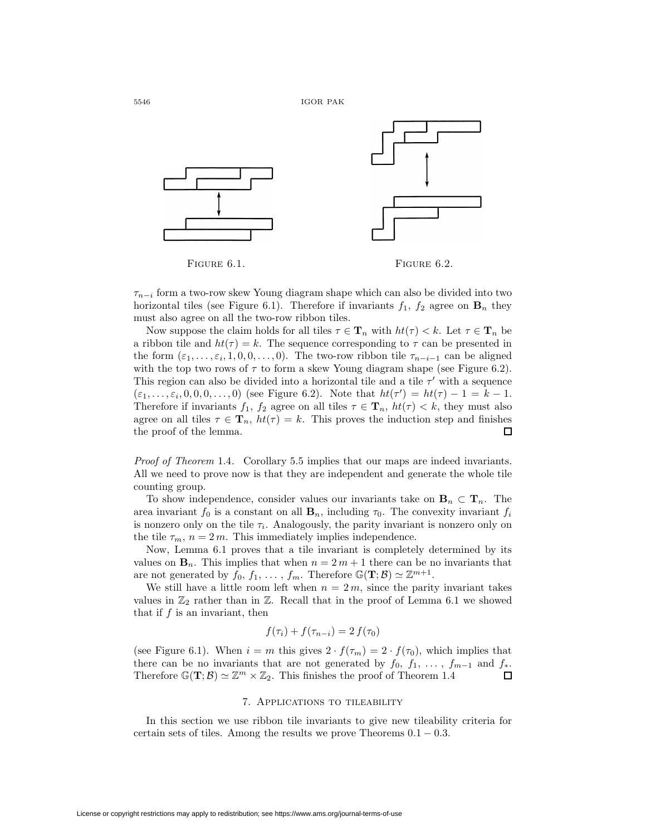

 $\tau_{n-i}$  form a two-row skew Young diagram shape which can also be divided into two horizontal tiles (see Figure 6.1). Therefore if invariants  $f_1$ ,  $f_2$  agree on  $\mathbf{B}_n$  they must also agree on all the two-row ribbon tiles.

Now suppose the claim holds for all tiles  $\tau \in \mathbf{T}_n$  with  $ht(\tau) < k$ . Let  $\tau \in \mathbf{T}_n$  be a ribbon tile and  $ht(\tau) = k$ . The sequence corresponding to  $\tau$  can be presented in the form  $(\varepsilon_1,\ldots,\varepsilon_i,1,0,0,\ldots,0)$ . The two-row ribbon tile  $\tau_{n-i-1}$  can be aligned with the top two rows of  $\tau$  to form a skew Young diagram shape (see Figure 6.2). This region can also be divided into a horizontal tile and a tile  $\tau'$  with a sequence  $(\varepsilon_1,\ldots,\varepsilon_i,0,0,0,\ldots,0)$  (see Figure 6.2). Note that  $ht(\tau')=ht(\tau)-1=k-1$ . Therefore if invariants  $f_1$ ,  $f_2$  agree on all tiles  $\tau \in \mathbf{T}_n$ ,  $ht(\tau) < k$ , they must also agree on all tiles  $\tau \in \mathbf{T}_n$ ,  $ht(\tau) = k$ . This proves the induction step and finishes the proof of the lemma. 囗

Proof of Theorem 1.4. Corollary 5.5 implies that our maps are indeed invariants. All we need to prove now is that they are independent and generate the whole tile counting group.

To show independence, consider values our invariants take on  $\mathbf{B}_n \subset \mathbf{T}_n$ . The area invariant  $f_0$  is a constant on all  $\mathbf{B}_n$ , including  $\tau_0$ . The convexity invariant  $f_i$ is nonzero only on the tile  $\tau_i$ . Analogously, the parity invariant is nonzero only on the tile  $\tau_m$ ,  $n = 2m$ . This immediately implies independence.

Now, Lemma 6.1 proves that a tile invariant is completely determined by its values on  $\mathbf{B}_n$ . This implies that when  $n = 2m + 1$  there can be no invariants that are not generated by  $f_0, f_1, \ldots, f_m$ . Therefore  $\mathbb{G}(\mathbf{T}; \mathcal{B}) \simeq \mathbb{Z}^{m+1}$ .

We still have a little room left when  $n = 2m$ , since the parity invariant takes values in  $\mathbb{Z}_2$  rather than in  $\mathbb{Z}$ . Recall that in the proof of Lemma 6.1 we showed that if  $f$  is an invariant, then

$$
f(\tau_i) + f(\tau_{n-i}) = 2 f(\tau_0)
$$

(see Figure 6.1). When  $i = m$  this gives  $2 \cdot f(\tau_m) = 2 \cdot f(\tau_0)$ , which implies that there can be no invariants that are not generated by  $f_0, f_1, \ldots, f_{m-1}$  and  $f_*$ .<br>Therefore  $\mathbb{G}(\mathbf{T}; \mathcal{B}) \simeq \mathbb{Z}^m \times \mathbb{Z}_2$ . This finishes the proof of Theorem 1.4 Therefore  $\mathbb{G}(\mathbf{T}; \mathcal{B}) \simeq \mathbb{Z}^m \times \mathbb{Z}_2$ . This finishes the proof of Theorem 1.4

## 7. Applications to tileability

In this section we use ribbon tile invariants to give new tileability criteria for certain sets of tiles. Among the results we prove Theorems  $0.1 - 0.3$ .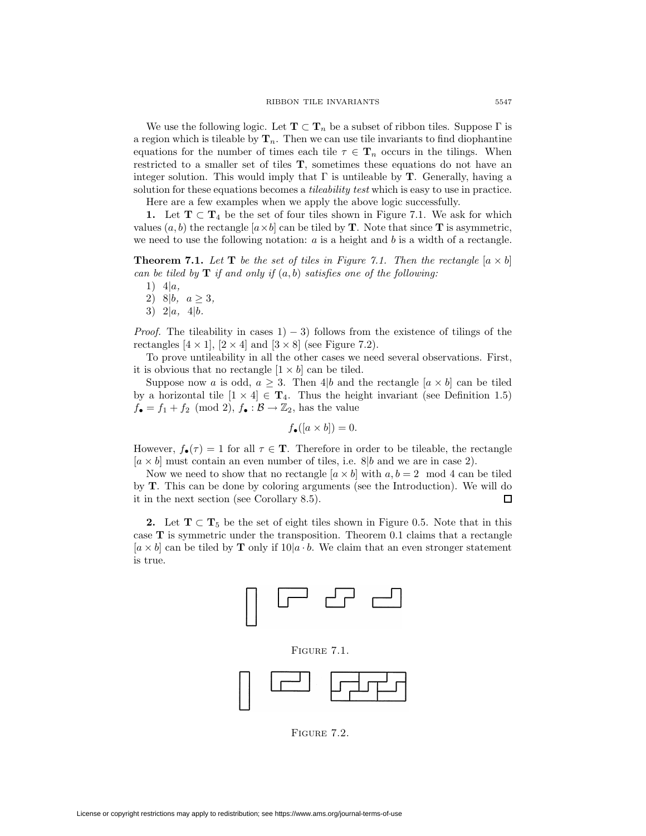We use the following logic. Let  $\mathbf{T} \subset \mathbf{T}_n$  be a subset of ribbon tiles. Suppose  $\Gamma$  is a region which is tileable by  $\mathbf{T}_n$ . Then we can use tile invariants to find diophantine equations for the number of times each tile  $\tau \in \mathbf{T}_n$  occurs in the tilings. When restricted to a smaller set of tiles **T**, sometimes these equations do not have an integer solution. This would imply that  $\Gamma$  is untileable by **T**. Generally, having a solution for these equations becomes a *tileability test* which is easy to use in practice.

Here are a few examples when we apply the above logic successfully.

**1.** Let **T** ⊂ **T**<sub>4</sub> be the set of four tiles shown in Figure 7.1. We ask for which values  $(a, b)$  the rectangle  $[a \times b]$  can be tiled by **T**. Note that since **T** is asymmetric, we need to use the following notation:  $a$  is a height and  $b$  is a width of a rectangle.

**Theorem 7.1.** Let **T** be the set of tiles in Figure 7.1. Then the rectangle  $[a \times b]$ can be tiled by  $\mathbf T$  if and only if  $(a, b)$  satisfies one of the following:

1)  $4|a,$ 

- 2) 8|b,  $a \ge 3$ ,
- 3)  $2|a, 4|b.$

*Proof.* The tileability in cases  $1$ ) − 3) follows from the existence of tilings of the rectangles  $[4 \times 1]$ ,  $[2 \times 4]$  and  $[3 \times 8]$  (see Figure 7.2).

To prove untileability in all the other cases we need several observations. First, it is obvious that no rectangle  $[1 \times b]$  can be tiled.

Suppose now a is odd,  $a \geq 3$ . Then 4|b and the rectangle  $[a \times b]$  can be tiled by a horizontal tile  $[1 \times 4] \in \mathbf{T}_4$ . Thus the height invariant (see Definition 1.5)  $f_{\bullet} = f_1 + f_2 \pmod{2}, f_{\bullet} : \mathcal{B} \to \mathbb{Z}_2$ , has the value

$$
f_{\bullet}([a \times b]) = 0.
$$

However,  $f_{\bullet}(\tau) = 1$  for all  $\tau \in \mathbf{T}$ . Therefore in order to be tileable, the rectangle  $[a \times b]$  must contain an even number of tiles, i.e.  $8|b$  and we are in case 2).

Now we need to show that no rectangle  $[a \times b]$  with  $a, b = 2 \mod 4$  can be tiled by **T**. This can be done by coloring arguments (see the Introduction). We will do it in the next section (see Corollary 8.5).  $\Box$ 

**2.** Let **T** ⊂ **T**<sub>5</sub> be the set of eight tiles shown in Figure 0.5. Note that in this case **T** is symmetric under the transposition. Theorem 0.1 claims that a rectangle  $[a \times b]$  can be tiled by **T** only if  $10|a \cdot b$ . We claim that an even stronger statement is true.



FIGURE 7.1.



FIGURE 7.2.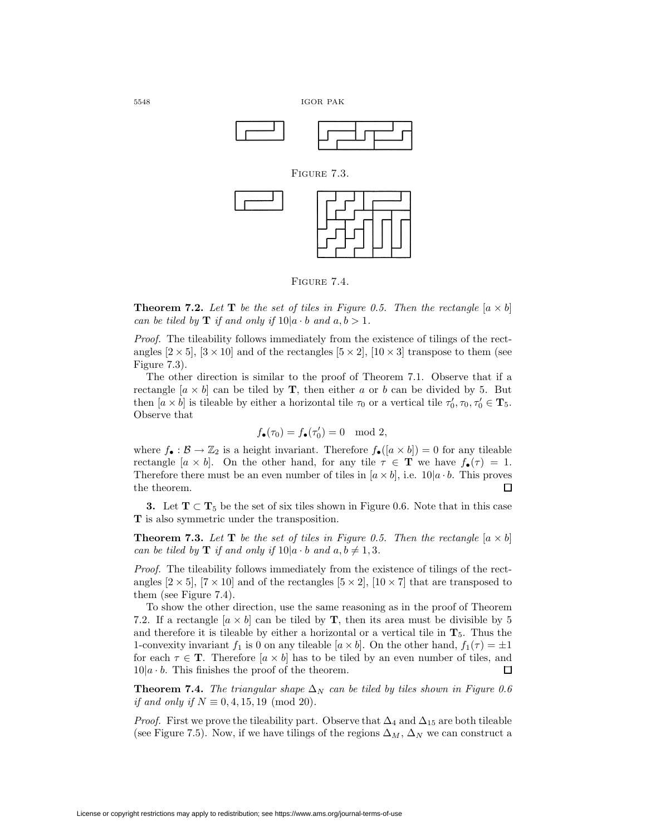5548 IGOR PAK



FIGURE 7.3.



FIGURE 7.4.

**Theorem 7.2.** Let **T** be the set of tiles in Figure 0.5. Then the rectangle  $[a \times b]$ can be tiled by **T** if and only if  $10|a \cdot b$  and  $a, b > 1$ .

Proof. The tileability follows immediately from the existence of tilings of the rectangles  $[2 \times 5]$ ,  $[3 \times 10]$  and of the rectangles  $[5 \times 2]$ ,  $[10 \times 3]$  transpose to them (see Figure 7.3).

The other direction is similar to the proof of Theorem 7.1. Observe that if a rectangle  $[a \times b]$  can be tiled by **T**, then either a or b can be divided by 5. But then  $[a \times b]$  is tileable by either a horizontal tile  $\tau_0$  or a vertical tile  $\tau'_0, \tau_0, \tau'_0 \in \mathbf{T}_5$ . Observe that

$$
f_{\bullet}(\tau_0) = f_{\bullet}(\tau_0') = 0 \mod 2,
$$

where  $f_{\bullet}: \mathcal{B} \to \mathbb{Z}_2$  is a height invariant. Therefore  $f_{\bullet}([a \times b]) = 0$  for any tileable rectangle  $[a \times b]$ . On the other hand, for any tile  $\tau \in \mathbf{T}$  we have  $f_{\bullet}(\tau) = 1$ . Therefore there must be an even number of tiles in  $[a \times b]$ , i.e.  $10|a \cdot b$ . This proves the theorem. 口

**3.** Let  $T \subset T_5$  be the set of six tiles shown in Figure 0.6. Note that in this case **T** is also symmetric under the transposition.

**Theorem 7.3.** Let **T** be the set of tiles in Figure 0.5. Then the rectangle  $[a \times b]$ can be tiled by **T** if and only if  $10|a \cdot b$  and  $a, b \neq 1, 3$ .

Proof. The tileability follows immediately from the existence of tilings of the rectangles  $[2 \times 5]$ ,  $[7 \times 10]$  and of the rectangles  $[5 \times 2]$ ,  $[10 \times 7]$  that are transposed to them (see Figure 7.4).

To show the other direction, use the same reasoning as in the proof of Theorem 7.2. If a rectangle  $[a \times b]$  can be tiled by **T**, then its area must be divisible by 5 and therefore it is tileable by either a horizontal or a vertical tile in  $T_5$ . Thus the 1-convexity invariant  $f_1$  is 0 on any tileable  $[a \times b]$ . On the other hand,  $f_1(\tau) = \pm 1$ for each  $\tau \in \mathbf{T}$ . Therefore  $[a \times b]$  has to be tiled by an even number of tiles, and  $\Box$  $10|a \cdot b$ . This finishes the proof of the theorem.

**Theorem 7.4.** The triangular shape  $\Delta_N$  can be tiled by tiles shown in Figure 0.6 if and only if  $N \equiv 0, 4, 15, 19 \pmod{20}$ .

*Proof.* First we prove the tileability part. Observe that  $\Delta_4$  and  $\Delta_{15}$  are both tileable (see Figure 7.5). Now, if we have tilings of the regions  $\Delta_M$ ,  $\Delta_N$  we can construct a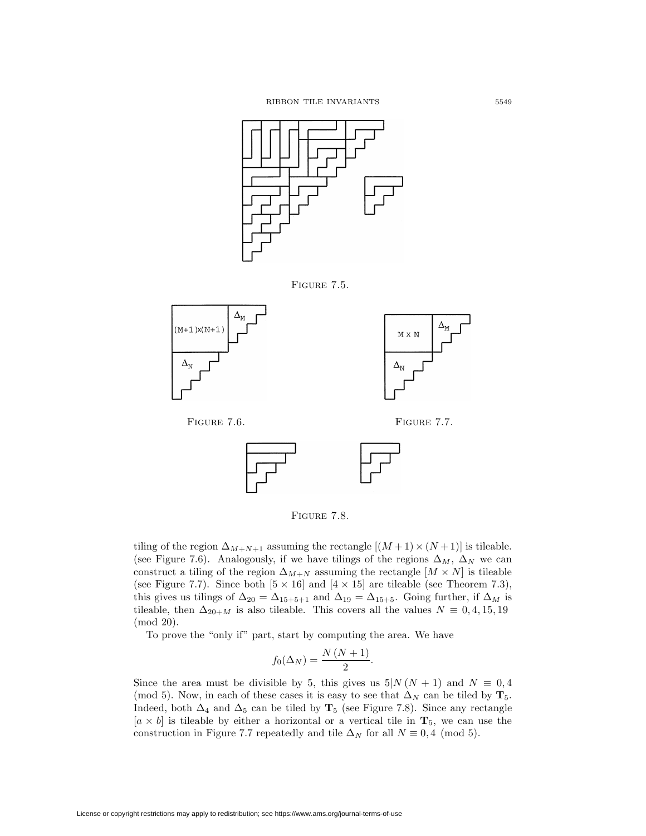

FIGURE 7.5.



FIGURE 7.8.

tiling of the region  $\Delta_{M+N+1}$  assuming the rectangle  $[(M+1) \times (N+1)]$  is tileable. (see Figure 7.6). Analogously, if we have tilings of the regions  $\Delta_M$ ,  $\Delta_N$  we can construct a tiling of the region  $\Delta_{M+N}$  assuming the rectangle  $[M \times N]$  is tileable (see Figure 7.7). Since both  $[5 \times 16]$  and  $[4 \times 15]$  are tileable (see Theorem 7.3), this gives us tilings of  $\Delta_{20} = \Delta_{15+5+1}$  and  $\Delta_{19} = \Delta_{15+5}$ . Going further, if  $\Delta_M$  is tileable, then  $\Delta_{20+M}$  is also tileable. This covers all the values  $N \equiv 0, 4, 15, 19$ (mod 20).

To prove the "only if" part, start by computing the area. We have

$$
f_0(\Delta_N) = \frac{N(N+1)}{2}.
$$

Since the area must be divisible by 5, this gives us  $5|N(N+1)$  and  $N \equiv 0, 4$ (mod 5). Now, in each of these cases it is easy to see that  $\Delta_N$  can be tiled by  $\mathbf{T}_5$ . Indeed, both  $\Delta_4$  and  $\Delta_5$  can be tiled by **T**<sub>5</sub> (see Figure 7.8). Since any rectangle  $[a \times b]$  is tileable by either a horizontal or a vertical tile in  $\mathbf{T}_5$ , we can use the construction in Figure 7.7 repeatedly and tile  $\Delta_N$  for all  $N \equiv 0, 4 \pmod{5}$ .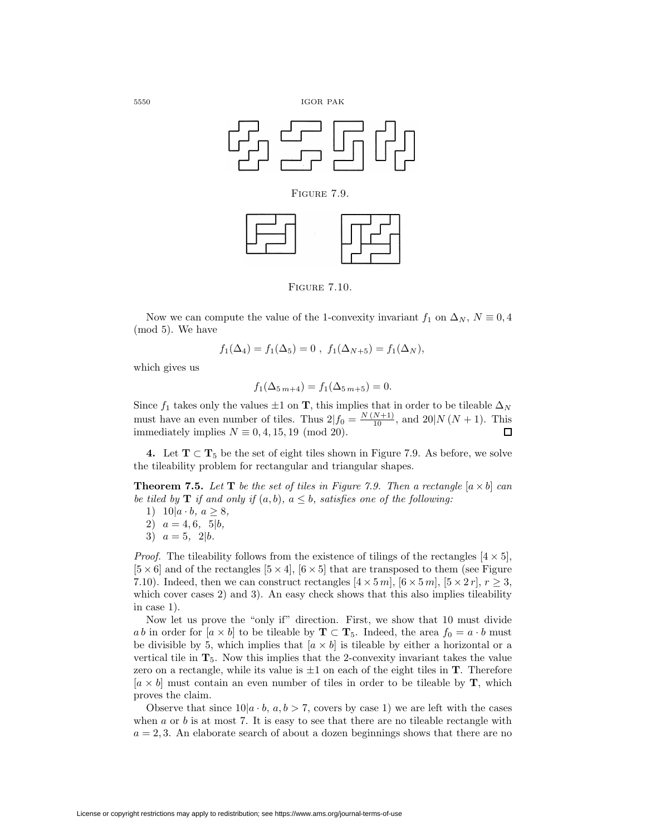5550 IGOR PAK



FIGURE 7.9.



Figure 7.10.

Now we can compute the value of the 1-convexity invariant  $f_1$  on  $\Delta_N$ ,  $N \equiv 0, 4$ (mod 5). We have

$$
f_1(\Delta_4) = f_1(\Delta_5) = 0
$$
,  $f_1(\Delta_{N+5}) = f_1(\Delta_N)$ ,

which gives us

$$
f_1(\Delta_{5\,m+4}) = f_1(\Delta_{5\,m+5}) = 0.
$$

Since  $f_1$  takes only the values  $\pm 1$  on **T**, this implies that in order to be tileable  $\Delta_N$ must have an even number of tiles. Thus  $2|f_0 = \frac{N (N+1)}{10}$ , and  $20|N (N + 1)$ . This immediately implies  $N \equiv 0, 4, 15, 19 \pmod{20}$ .

**4.** Let **T** ⊂ **T**<sub>5</sub> be the set of eight tiles shown in Figure 7.9. As before, we solve the tileability problem for rectangular and triangular shapes.

**Theorem 7.5.** Let **T** be the set of tiles in Figure 7.9. Then a rectangle  $[a \times b]$  can be tiled by **T** if and only if  $(a, b)$ ,  $a \leq b$ , satisfies one of the following:

- 1)  $10|a \cdot b, a \ge 8$ ,
- 2)  $a = 4, 6, 5|b$ ,
- 3)  $a = 5, 2|b$ .

*Proof.* The tileability follows from the existence of tilings of the rectangles  $[4 \times 5]$ ,  $[5 \times 6]$  and of the rectangles  $[5 \times 4]$ ,  $[6 \times 5]$  that are transposed to them (see Figure 7.10). Indeed, then we can construct rectangles  $[4 \times 5 \, m]$ ,  $[6 \times 5 \, m]$ ,  $[5 \times 2 \, r]$ ,  $r > 3$ , which cover cases 2) and 3). An easy check shows that this also implies tileability in case 1).

Now let us prove the "only if" direction. First, we show that 10 must divide a b in order for  $[a \times b]$  to be tileable by **T**  $\subset$  **T**<sub>5</sub>. Indeed, the area  $f_0 = a \cdot b$  must be divisible by 5, which implies that  $[a \times b]$  is tileable by either a horizontal or a vertical tile in  $T_5$ . Now this implies that the 2-convexity invariant takes the value zero on a rectangle, while its value is  $\pm 1$  on each of the eight tiles in **T**. Therefore  $[a \times b]$  must contain an even number of tiles in order to be tileable by **T**, which proves the claim.

Observe that since  $10|a \cdot b, a, b > 7$ , covers by case 1) we are left with the cases when  $a$  or  $b$  is at most 7. It is easy to see that there are no tileable rectangle with  $a = 2, 3$ . An elaborate search of about a dozen beginnings shows that there are no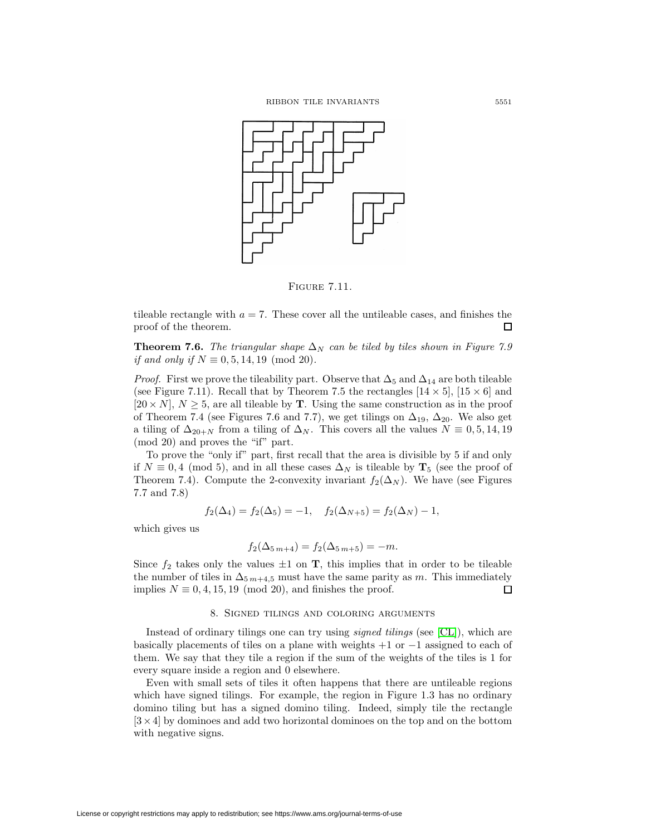

FIGURE 7.11.

tileable rectangle with  $a = 7$ . These cover all the untileable cases, and finishes the proof of the theorem.  $\Box$ 

**Theorem 7.6.** The triangular shape  $\Delta_N$  can be tiled by tiles shown in Figure 7.9 if and only if  $N \equiv 0, 5, 14, 19 \pmod{20}$ .

*Proof.* First we prove the tileability part. Observe that  $\Delta_5$  and  $\Delta_{14}$  are both tileable (see Figure 7.11). Recall that by Theorem 7.5 the rectangles  $[14 \times 5]$ ,  $[15 \times 6]$  and  $[20 \times N]$ ,  $N \geq 5$ , are all tileable by **T**. Using the same construction as in the proof of Theorem 7.4 (see Figures 7.6 and 7.7), we get tilings on  $\Delta_{19}$ ,  $\Delta_{20}$ . We also get a tiling of  $\Delta_{20+N}$  from a tiling of  $\Delta_N$ . This covers all the values  $N \equiv 0, 5, 14, 19$ (mod 20) and proves the "if" part.

To prove the "only if" part, first recall that the area is divisible by 5 if and only if  $N \equiv 0, 4 \pmod{5}$ , and in all these cases  $\Delta_N$  is tileable by  $\mathbf{T}_5$  (see the proof of Theorem 7.4). Compute the 2-convexity invariant  $f_2(\Delta_N)$ . We have (see Figures 7.7 and 7.8)

$$
f_2(\Delta_4) = f_2(\Delta_5) = -1
$$
,  $f_2(\Delta_{N+5}) = f_2(\Delta_N) - 1$ ,

which gives us

$$
f_2(\Delta_{5\,m+4}) = f_2(\Delta_{5\,m+5}) = -m.
$$

Since  $f_2$  takes only the values  $\pm 1$  on **T**, this implies that in order to be tileable the number of tiles in  $\Delta_{5\,m+4,5}$  must have the same parity as m. This immediately implies  $N \equiv 0, 4, 15, 19 \pmod{20}$ , and finishes the proof. 口

## 8. Signed tilings and coloring arguments

Instead of ordinary tilings one can try using signed tilings (see [\[CL\]](#page-35-1)), which are basically placements of tiles on a plane with weights +1 or −1 assigned to each of them. We say that they tile a region if the sum of the weights of the tiles is 1 for every square inside a region and 0 elsewhere.

Even with small sets of tiles it often happens that there are untileable regions which have signed tilings. For example, the region in Figure 1.3 has no ordinary domino tiling but has a signed domino tiling. Indeed, simply tile the rectangle  $[3\times4]$  by dominoes and add two horizontal dominoes on the top and on the bottom with negative signs.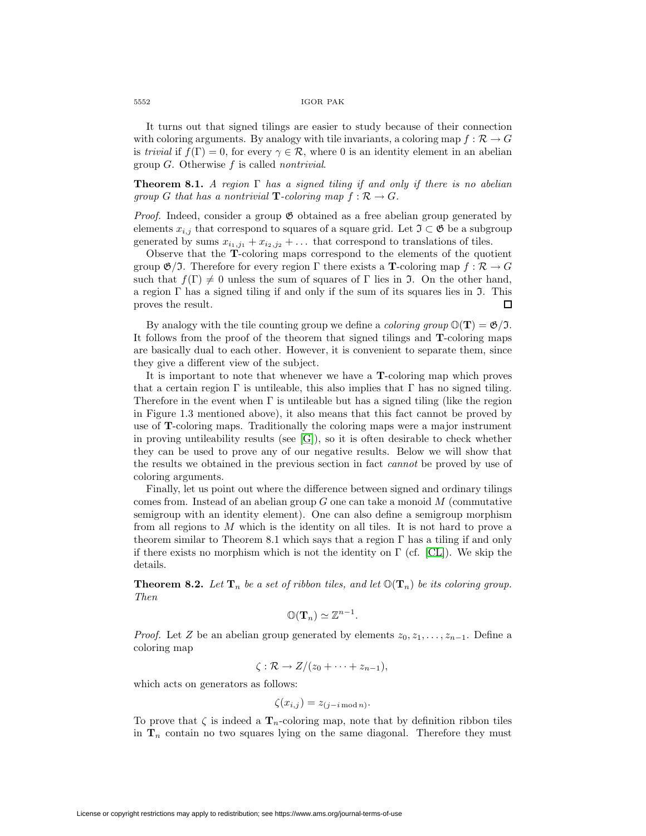#### 5552 IGOR PAK

It turns out that signed tilings are easier to study because of their connection with coloring arguments. By analogy with tile invariants, a coloring map  $f : \mathcal{R} \to G$ is trivial if  $f(\Gamma) = 0$ , for every  $\gamma \in \mathcal{R}$ , where 0 is an identity element in an abelian group  $G$ . Otherwise  $f$  is called *nontrivial*.

**Theorem 8.1.** A region  $\Gamma$  has a signed tiling if and only if there is no abelian group G that has a nontrivial **T**-coloring map  $f : \mathcal{R} \to G$ .

*Proof.* Indeed, consider a group  $\mathfrak{G}$  obtained as a free abelian group generated by elements  $x_{i,j}$  that correspond to squares of a square grid. Let  $\mathfrak{I} \subset \mathfrak{G}$  be a subgroup generated by sums  $x_{i_1,j_1} + x_{i_2,j_2} + \ldots$  that correspond to translations of tiles.

Observe that the **T**-coloring maps correspond to the elements of the quotient group  $\mathfrak{G}/\mathfrak{I}$ . Therefore for every region  $\Gamma$  there exists a **T**-coloring map  $f : \mathcal{R} \to G$ such that  $f(\Gamma) \neq 0$  unless the sum of squares of  $\Gamma$  lies in J. On the other hand, a region  $\Gamma$  has a signed tiling if and only if the sum of its squares lies in  $\mathfrak{I}$ . This proves the result. □

By analogy with the tile counting group we define a *coloring group*  $\mathbb{O}(\mathbf{T}) = \mathfrak{G}/\mathfrak{I}$ . It follows from the proof of the theorem that signed tilings and **T**-coloring maps are basically dual to each other. However, it is convenient to separate them, since they give a different view of the subject.

It is important to note that whenever we have a **T**-coloring map which proves that a certain region  $\Gamma$  is untileable, this also implies that  $\Gamma$  has no signed tiling. Therefore in the event when  $\Gamma$  is untileable but has a signed tiling (like the region in Figure 1.3 mentioned above), it also means that this fact cannot be proved by use of **T**-coloring maps. Traditionally the coloring maps were a major instrument in proving untileability results (see [\[G\]](#page-35-0)), so it is often desirable to check whether they can be used to prove any of our negative results. Below we will show that the results we obtained in the previous section in fact cannot be proved by use of coloring arguments.

Finally, let us point out where the difference between signed and ordinary tilings comes from. Instead of an abelian group  $G$  one can take a monoid  $M$  (commutative semigroup with an identity element). One can also define a semigroup morphism from all regions to  $M$  which is the identity on all tiles. It is not hard to prove a theorem similar to Theorem 8.1 which says that a region Γ has a tiling if and only if there exists no morphism which is not the identity on  $\Gamma$  (cf. [\[CL\]](#page-35-1)). We skip the details.

**Theorem 8.2.** Let  $\mathbf{T}_n$  be a set of ribbon tiles, and let  $\mathbb{O}(\mathbf{T}_n)$  be its coloring group. Then

$$
\mathbb{O}(\mathbf{T}_n)\simeq \mathbb{Z}^{n-1}.
$$

*Proof.* Let Z be an abelian group generated by elements  $z_0, z_1, \ldots, z_{n-1}$ . Define a coloring map

$$
\zeta:\mathcal{R}\to Z/(z_0+\cdots+z_{n-1}),
$$

which acts on generators as follows:

$$
\zeta(x_{i,j}) = z_{(j-i \bmod n)}.
$$

To prove that  $\zeta$  is indeed a  $\mathbf{T}_n$ -coloring map, note that by definition ribbon tiles in  $\mathbf{T}_n$  contain no two squares lying on the same diagonal. Therefore they must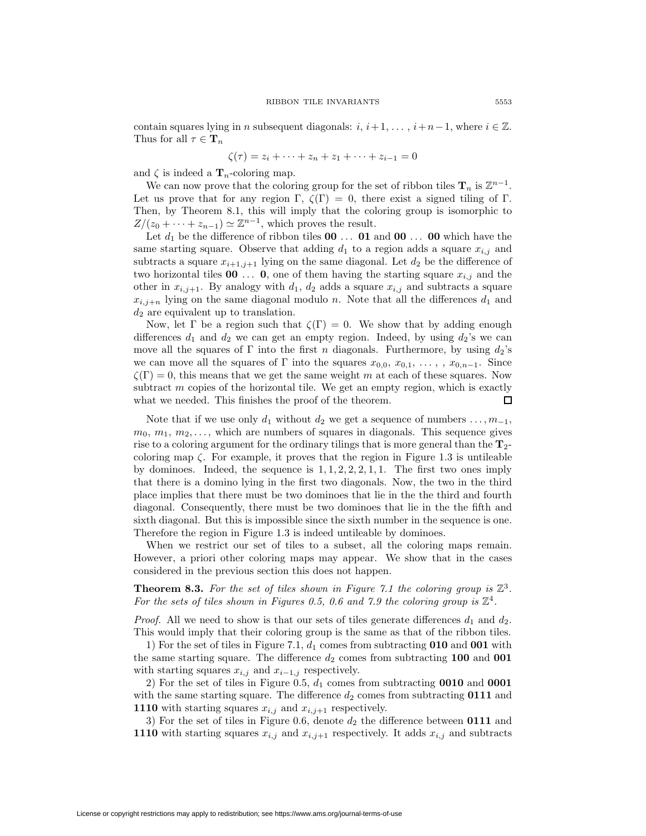contain squares lying in n subsequent diagonals:  $i, i+1, \ldots, i+n-1$ , where  $i \in \mathbb{Z}$ . Thus for all  $\tau \in \mathbf{T}_n$ 

$$
\zeta(\tau) = z_i + \dots + z_n + z_1 + \dots + z_{i-1} = 0
$$

and  $\zeta$  is indeed a  $\mathbf{T}_n$ -coloring map.

We can now prove that the coloring group for the set of ribbon tiles  $\mathbf{T}_n$  is  $\mathbb{Z}^{n-1}$ . Let us prove that for any region Γ,  $\zeta(\Gamma) = 0$ , there exist a signed tiling of Γ. Then, by Theorem 8.1, this will imply that the coloring group is isomorphic to  $Z/(z_0 + \cdots + z_{n-1}) \simeq \mathbb{Z}^{n-1}$ , which proves the result.

Let  $d_1$  be the difference of ribbon tiles  $00 \ldots 01$  and  $00 \ldots 00$  which have the same starting square. Observe that adding  $d_1$  to a region adds a square  $x_{i,j}$  and subtracts a square  $x_{i+1,j+1}$  lying on the same diagonal. Let  $d_2$  be the difference of two horizontal tiles  $00 \ldots 0$ , one of them having the starting square  $x_{i,j}$  and the other in  $x_{i,j+1}$ . By analogy with  $d_1$ ,  $d_2$  adds a square  $x_{i,j}$  and subtracts a square  $x_{i,j+n}$  lying on the same diagonal modulo n. Note that all the differences  $d_1$  and  $d_2$  are equivalent up to translation.

Now, let  $\Gamma$  be a region such that  $\zeta(\Gamma) = 0$ . We show that by adding enough differences  $d_1$  and  $d_2$  we can get an empty region. Indeed, by using  $d_2$ 's we can move all the squares of Γ into the first n diagonals. Furthermore, by using  $d_2$ 's we can move all the squares of  $\Gamma$  into the squares  $x_{0,0}, x_{0,1}, \ldots, x_{0,n-1}$ . Since  $\zeta(\Gamma) = 0$ , this means that we get the same weight m at each of these squares. Now subtract  $m$  copies of the horizontal tile. We get an empty region, which is exactly what we needed. This finishes the proof of the theorem.  $\Box$ 

Note that if we use only  $d_1$  without  $d_2$  we get a sequence of numbers  $\dots, m_{-1}$ ,  $m_0, m_1, m_2, \ldots$ , which are numbers of squares in diagonals. This sequence gives rise to a coloring argument for the ordinary tilings that is more general than the **T**2 coloring map  $\zeta$ . For example, it proves that the region in Figure 1.3 is untileable by dominoes. Indeed, the sequence is  $1, 1, 2, 2, 2, 1, 1$ . The first two ones imply that there is a domino lying in the first two diagonals. Now, the two in the third place implies that there must be two dominoes that lie in the the third and fourth diagonal. Consequently, there must be two dominoes that lie in the the fifth and sixth diagonal. But this is impossible since the sixth number in the sequence is one. Therefore the region in Figure 1.3 is indeed untileable by dominoes.

When we restrict our set of tiles to a subset, all the coloring maps remain. However, a priori other coloring maps may appear. We show that in the cases considered in the previous section this does not happen.

# **Theorem 8.3.** For the set of tiles shown in Figure 7.1 the coloring group is  $\mathbb{Z}^3$ . For the sets of tiles shown in Figures 0.5, 0.6 and 7.9 the coloring group is  $\mathbb{Z}^4$ .

*Proof.* All we need to show is that our sets of tiles generate differences  $d_1$  and  $d_2$ . This would imply that their coloring group is the same as that of the ribbon tiles.

1) For the set of tiles in Figure 7.1,  $d_1$  comes from subtracting  $010$  and  $001$  with the same starting square. The difference  $d_2$  comes from subtracting **100** and **001** with starting squares  $x_{i,j}$  and  $x_{i-1,j}$  respectively.

2) For the set of tiles in Figure 0.5,  $d_1$  comes from subtracting  $0010$  and  $0001$ with the same starting square. The difference  $d_2$  comes from subtracting  $0111$  and **1110** with starting squares  $x_{i,j}$  and  $x_{i,j+1}$  respectively.

3) For the set of tiles in Figure 0.6, denote  $d_2$  the difference between **0111** and **1110** with starting squares  $x_{i,j}$  and  $x_{i,j+1}$  respectively. It adds  $x_{i,j}$  and subtracts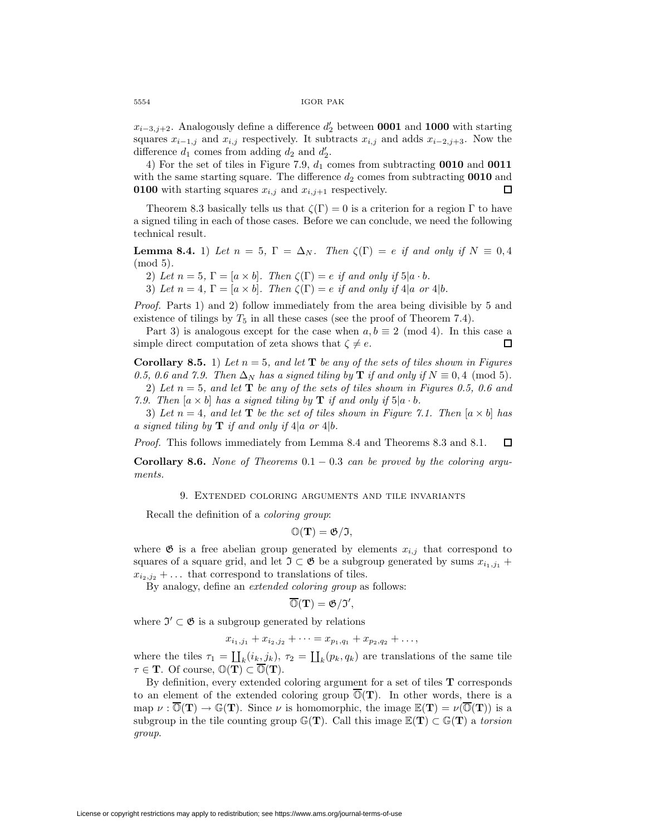$x_{i-3,j+2}$ . Analogously define a difference  $d_2$  between **0001** and **1000** with starting squares  $x_{i-1,j}$  and  $x_{i,j}$  respectively. It subtracts  $x_{i,j}$  and adds  $x_{i-2,j+3}$ . Now the difference  $d_1$  comes from adding  $d_2$  and  $d'_2$ .

4) For the set of tiles in Figure 7.9,  $d_1$  comes from subtracting  $0010$  and  $0011$ with the same starting square. The difference  $d_2$  comes from subtracting  $0010$  and **0100** with starting squares  $x_{i,j}$  and  $x_{i,j+1}$  respectively.  $\Box$ 

Theorem 8.3 basically tells us that  $\zeta(\Gamma) = 0$  is a criterion for a region  $\Gamma$  to have a signed tiling in each of those cases. Before we can conclude, we need the following technical result.

**Lemma 8.4.** 1) Let  $n = 5$ ,  $\Gamma = \Delta_N$ . Then  $\zeta(\Gamma) = e$  if and only if  $N \equiv 0, 4$ (mod 5).

2) Let  $n = 5$ ,  $\Gamma = [a \times b]$ . Then  $\zeta(\Gamma) = e$  if and only if  $5|a \cdot b$ .

3) Let  $n = 4$ ,  $\Gamma = [a \times b]$ . Then  $\zeta(\Gamma) = e$  if and only if  $4|a$  or  $4|b$ .

Proof. Parts 1) and 2) follow immediately from the area being divisible by 5 and existence of tilings by  $T_5$  in all these cases (see the proof of Theorem 7.4).

Part 3) is analogous except for the case when  $a, b \equiv 2 \pmod{4}$ . In this case a simple direct computation of zeta shows that  $\zeta \neq e$ .  $\Box$ 

**Corollary 8.5.** 1) Let  $n = 5$ , and let **T** be any of the sets of tiles shown in Figures 0.5, 0.6 and 7.9. Then  $\Delta_N$  has a signed tiling by **T** if and only if  $N \equiv 0, 4 \pmod{5}$ . 2) Let  $n = 5$ , and let **T** be any of the sets of tiles shown in Figures 0.5, 0.6 and 7.9. Then  $[a \times b]$  has a signed tiling by **T** if and only if  $5|a \cdot b$ .

3) Let  $n = 4$ , and let **T** be the set of tiles shown in Figure 7.1. Then  $[a \times b]$  has a signed tiling by  $\mathbf T$  if and only if  $4|a$  or  $4|b$ .

Proof. This follows immediately from Lemma 8.4 and Theorems 8.3 and 8.1.  $\Box$ 

**Corollary 8.6.** None of Theorems  $0.1 - 0.3$  can be proved by the coloring arguments.

9. Extended coloring arguments and tile invariants

Recall the definition of a coloring group:

$$
\mathbb{O}(\mathbf{T})=\mathfrak{G}/\mathfrak{I},
$$

where  $\mathfrak G$  is a free abelian group generated by elements  $x_{i,j}$  that correspond to squares of a square grid, and let  $\mathfrak{I} \subset \mathfrak{G}$  be a subgroup generated by sums  $x_{i_1,j_1} +$  $x_{i_2,j_2} + \ldots$  that correspond to translations of tiles.

By analogy, define an extended coloring group as follows:

$$
\overline{\mathbb{O}}(\mathbf{T}) = \mathfrak{G}/\mathfrak{I}',
$$

where  $\mathfrak{I}' \subset \mathfrak{G}$  is a subgroup generated by relations

$$
x_{i_1,j_1} + x_{i_2,j_2} + \cdots = x_{p_1,q_1} + x_{p_2,q_2} + \ldots,
$$

where the tiles  $\tau_1 = \coprod_k (i_k, j_k)$ ,  $\tau_2 = \coprod_k (p_k, q_k)$  are translations of the same tile  $\tau \in \mathbf{T}$ . Of course,  $\mathbb{O}(\mathbf{T}) \subset \overline{\mathbb{O}}(\mathbf{T})$ .

By definition, every extended coloring argument for a set of tiles **T** corresponds to an element of the extended coloring group  $\overline{\mathbb{O}}(\mathbf{T})$ . In other words, there is a map  $\nu : \overline{\mathbb{O}}(\mathbf{T}) \to \mathbb{G}(\mathbf{T})$ . Since  $\nu$  is homomorphic, the image  $\mathbb{E}(\mathbf{T}) = \nu(\overline{\mathbb{O}}(\mathbf{T}))$  is a subgroup in the tile counting group  $\mathbb{G}(\mathbf{T})$ . Call this image  $\mathbb{E}(\mathbf{T}) \subset \mathbb{G}(\mathbf{T})$  a torsion group.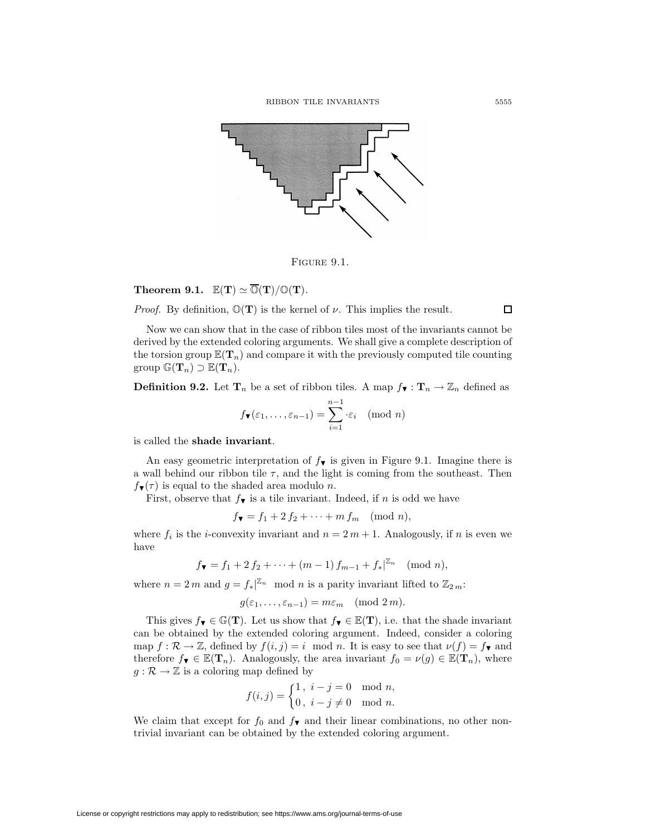

FIGURE 9.1.

# **Theorem 9.1.**  $\mathbb{E}(\mathbf{T}) \simeq \overline{\mathbb{O}}(\mathbf{T})/\mathbb{O}(\mathbf{T}).$

*Proof.* By definition,  $\mathbb{O}(T)$  is the kernel of  $\nu$ . This implies the result.

 $\Box$ 

Now we can show that in the case of ribbon tiles most of the invariants cannot be derived by the extended coloring arguments. We shall give a complete description of the torsion group  $\mathbb{E}(\mathbf{T}_n)$  and compare it with the previously computed tile counting group  $\mathbb{G}(\mathbf{T}_n)$  ⊃  $\mathbb{E}(\mathbf{T}_n)$ .

**Definition 9.2.** Let  $\mathbf{T}_n$  be a set of ribbon tiles. A map  $f_{\mathbf{y}} : \mathbf{T}_n \to \mathbb{Z}_n$  defined as

$$
f_{\blacktriangledown}(\varepsilon_1,\ldots,\varepsilon_{n-1}) = \sum_{i=1}^{n-1} \cdot \varepsilon_i \pmod{n}
$$

is called the **shade invariant**.

An easy geometric interpretation of  $f_{\blacktriangledown}$  is given in Figure 9.1. Imagine there is a wall behind our ribbon tile  $\tau$ , and the light is coming from the southeast. Then  $f_{\blacktriangledown}(\tau)$  is equal to the shaded area modulo n.

First, observe that  $f_{\blacktriangledown}$  is a tile invariant. Indeed, if n is odd we have

$$
f_{\blacktriangledown} = f_1 + 2 f_2 + \cdots + m f_m \pmod{n},
$$

where  $f_i$  is the *i*-convexity invariant and  $n = 2m + 1$ . Analogously, if *n* is even we have

$$
f_{\blacktriangledown} = f_1 + 2 f_2 + \cdots + (m-1) f_{m-1} + f_* \vert^{ \mathbb{Z}_n} \pmod{n},
$$

where  $n = 2 m$  and  $g = f_*^{\mathbb{Z}_n}$  mod n is a parity invariant lifted to  $\mathbb{Z}_{2m}$ :

$$
g(\varepsilon_1,\ldots,\varepsilon_{n-1})=m\varepsilon_m \pmod{2\,m}.
$$

This gives  $f_{\mathbf{y}} \in \mathbb{G}(\mathbf{T})$ . Let us show that  $f_{\mathbf{y}} \in \mathbb{E}(\mathbf{T})$ , i.e. that the shade invariant can be obtained by the extended coloring argument. Indeed, consider a coloring map  $f : \mathcal{R} \to \mathbb{Z}$ , defined by  $f(i, j) = i \mod n$ . It is easy to see that  $\nu(f) = f_{\blacktriangledown}$  and therefore  $f_{\mathbf{y}} \in \mathbb{E}(\mathbf{T}_n)$ . Analogously, the area invariant  $f_0 = \nu(g) \in \mathbb{E}(\mathbf{T}_n)$ , where  $g: \mathcal{R} \to \mathbb{Z}$  is a coloring map defined by

$$
f(i,j) = \begin{cases} 1, i-j=0 \mod n, \\ 0, i-j \neq 0 \mod n. \end{cases}
$$

We claim that except for  $f_0$  and  $f_{\blacktriangledown}$  and their linear combinations, no other nontrivial invariant can be obtained by the extended coloring argument.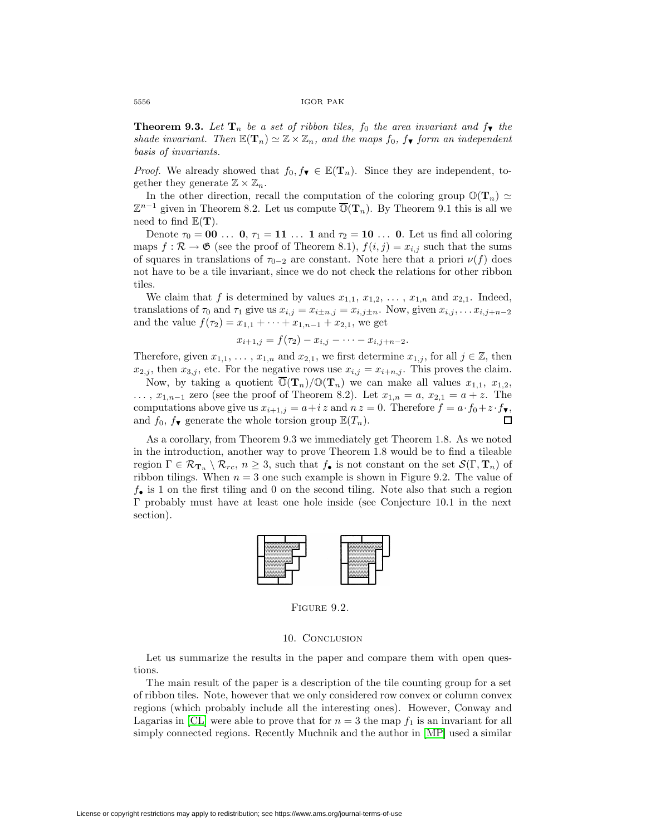**Theorem 9.3.** Let  $\mathbf{T}_n$  be a set of ribbon tiles,  $f_0$  the area invariant and  $f_{\nabla}$  the shade invariant. Then  $\mathbb{E}(\mathbf{T}_n) \simeq \mathbb{Z} \times \mathbb{Z}_n$ , and the maps  $f_0$ ,  $f_{\blacktriangledown}$  form an independent basis of invariants.

*Proof.* We already showed that  $f_0, f_{\mathbf{V}} \in \mathbb{E}(\mathbf{T}_n)$ . Since they are independent, together they generate  $\mathbb{Z} \times \mathbb{Z}_n$ .

In the other direction, recall the computation of the coloring group  $\mathbb{O}(\mathbf{T}_n) \simeq$  $\mathbb{Z}^{n-1}$  given in Theorem 8.2. Let us compute  $\overline{\mathbb{O}}(\mathbf{T}_n)$ . By Theorem 9.1 this is all we need to find  $\mathbb{E}(\mathbf{T})$ .

Denote  $\tau_0 = 00$  ...  $0, \tau_1 = 11$  ... 1 and  $\tau_2 = 10$  ... 0. Let us find all coloring maps  $f : \mathcal{R} \to \mathfrak{G}$  (see the proof of Theorem 8.1),  $f(i, j) = x_{i,j}$  such that the sums of squares in translations of  $\tau_{0-2}$  are constant. Note here that a priori  $\nu(f)$  does not have to be a tile invariant, since we do not check the relations for other ribbon tiles.

We claim that f is determined by values  $x_{1,1}, x_{1,2}, \ldots, x_{1,n}$  and  $x_{2,1}$ . Indeed, translations of  $\tau_0$  and  $\tau_1$  give us  $x_{i,j} = x_{i\pm n,j} = x_{i,j\pm n}$ . Now, given  $x_{i,j}, \ldots x_{i,j+n-2}$ and the value  $f(\tau_2) = x_{1,1} + \cdots + x_{1,n-1} + x_{2,1}$ , we get

$$
x_{i+1,j} = f(\tau_2) - x_{i,j} - \cdots - x_{i,j+n-2}.
$$

Therefore, given  $x_{1,1}, \ldots, x_{1,n}$  and  $x_{2,1}$ , we first determine  $x_{1,j}$ , for all  $j \in \mathbb{Z}$ , then  $x_{2,i}$ , then  $x_{3,i}$ , etc. For the negative rows use  $x_{i,j} = x_{i+n,j}$ . This proves the claim.

Now, by taking a quotient  $\overline{\mathbb{O}}(\mathbf{T}_n)/\mathbb{O}(\mathbf{T}_n)$  we can make all values  $x_{1,1}, x_{1,2}$ ,  $\ldots$ ,  $x_{1,n-1}$  zero (see the proof of Theorem 8.2). Let  $x_{1,n} = a$ ,  $x_{2,1} = a + z$ . The computations above give us  $x_{i+1,j} = a+i z$  and  $nz = 0$ . Therefore  $f = a \cdot f_0 + z \cdot f_{\mathbf{v}}$ , and  $f_0$ ,  $f_{\nabla}$  generate the whole torsion group  $\mathbb{E}(T_n)$ . П

As a corollary, from Theorem 9.3 we immediately get Theorem 1.8. As we noted in the introduction, another way to prove Theorem 1.8 would be to find a tileable region  $\Gamma \in \mathcal{R}_{\mathbf{T}_n} \setminus \mathcal{R}_{rc}$ ,  $n \geq 3$ , such that  $f_{\bullet}$  is not constant on the set  $\mathcal{S}(\Gamma, \mathbf{T}_n)$  of ribbon tilings. When  $n = 3$  one such example is shown in Figure 9.2. The value of  $f_{\bullet}$  is 1 on the first tiling and 0 on the second tiling. Note also that such a region Γ probably must have at least one hole inside (see Conjecture 10.1 in the next section).



FIGURE 9.2.

### 10. CONCLUSION

Let us summarize the results in the paper and compare them with open questions.

The main result of the paper is a description of the tile counting group for a set of ribbon tiles. Note, however that we only considered row convex or column convex regions (which probably include all the interesting ones). However, Conway and Lagarias in  $|CL|$  were able to prove that for  $n = 3$  the map  $f_1$  is an invariant for all simply connected regions. Recently Muchnik and the author in [\[MP\]](#page-35-12) used a similar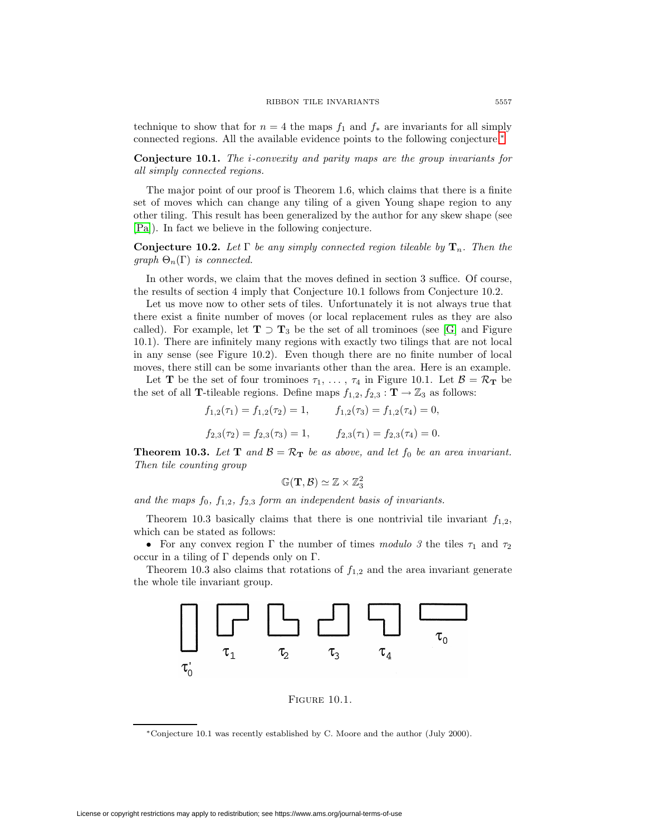technique to show that for  $n = 4$  the maps  $f_1$  and  $f_*$  are invariants for all simply connected regions. All the available evidence points to the following conjecture.[∗](#page-32-0)

**Conjecture 10.1.** The i-convexity and parity maps are the group invariants for all simply connected regions.

The major point of our proof is Theorem 1.6, which claims that there is a finite set of moves which can change any tiling of a given Young shape region to any other tiling. This result has been generalized by the author for any skew shape (see [\[Pa\]](#page-35-11)). In fact we believe in the following conjecture.

**Conjecture 10.2.** Let  $\Gamma$  be any simply connected region tileable by  $\mathbf{T}_n$ . Then the graph  $\Theta_n(\Gamma)$  is connected.

In other words, we claim that the moves defined in section 3 suffice. Of course, the results of section 4 imply that Conjecture 10.1 follows from Conjecture 10.2.

Let us move now to other sets of tiles. Unfortunately it is not always true that there exist a finite number of moves (or local replacement rules as they are also called). For example, let  $T \supset T_3$  be the set of all trominoes (see [\[G\]](#page-35-0) and Figure 10.1). There are infinitely many regions with exactly two tilings that are not local in any sense (see Figure 10.2). Even though there are no finite number of local moves, there still can be some invariants other than the area. Here is an example.

Let **T** be the set of four trominoes  $\tau_1, \ldots, \tau_4$  in Figure 10.1. Let  $\mathcal{B} = \mathcal{R}_T$  be the set of all **T**-tileable regions. Define maps  $f_{1,2}, f_{2,3} : \mathbf{T} \to \mathbb{Z}_3$  as follows:

$$
f_{1,2}(\tau_1) = f_{1,2}(\tau_2) = 1,
$$
  $f_{1,2}(\tau_3) = f_{1,2}(\tau_4) = 0,$   
 $f_{2,3}(\tau_2) = f_{2,3}(\tau_3) = 1,$   $f_{2,3}(\tau_1) = f_{2,3}(\tau_4) = 0.$ 

**Theorem 10.3.** Let **T** and  $\mathcal{B} = \mathcal{R}_T$  be as above, and let  $f_0$  be an area invariant. Then tile counting group

$$
\mathbb{G}(\mathbf{T},\mathcal{B})\simeq \mathbb{Z}\times \mathbb{Z}_3^2
$$

and the maps  $f_0$ ,  $f_{1,2}$ ,  $f_{2,3}$  form an independent basis of invariants.

Theorem 10.3 basically claims that there is one nontrivial tile invariant  $f_{1,2}$ , which can be stated as follows:

• For any convex region  $\Gamma$  the number of times modulo 3 the tiles  $\tau_1$  and  $\tau_2$ occur in a tiling of Γ depends only on Γ.

Theorem 10.3 also claims that rotations of  $f_{1,2}$  and the area invariant generate the whole tile invariant group.



Figure 10.1.

<span id="page-32-0"></span><sup>∗</sup>Conjecture 10.1 was recently established by C. Moore and the author (July 2000).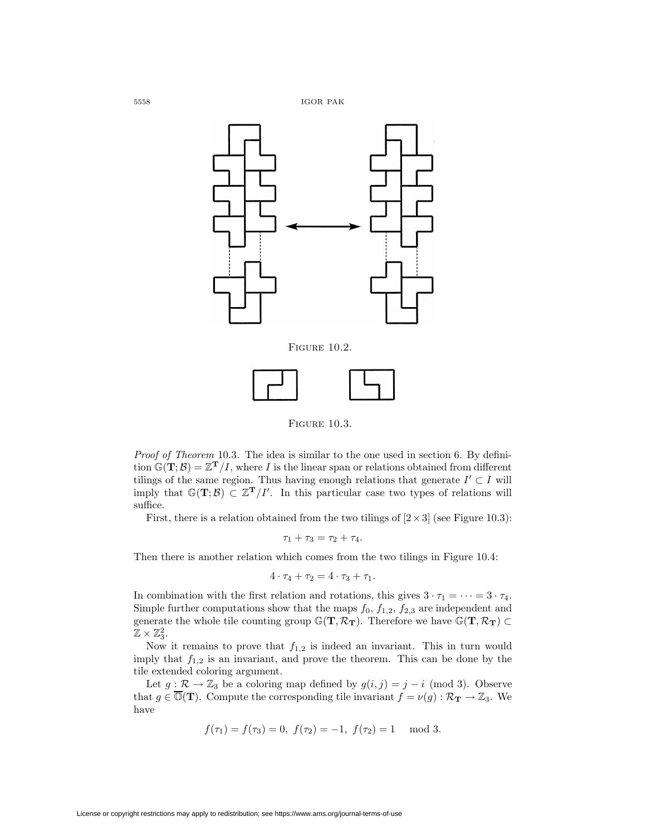

FIGURE 10.2.

Figure 10.3.

Proof of Theorem 10.3. The idea is similar to the one used in section 6. By definition  $\mathbb{G}(\mathbf{T}; \mathcal{B}) = \mathbb{Z}^{\mathbf{T}}/I$ , where I is the linear span or relations obtained from different tilings of the same region. Thus having enough relations that generate  $I'\subset I$  will imply that  $\mathbb{G}(\mathbf{T}; \mathcal{B}) \subset \mathbb{Z}^{\mathbf{T}}/I'$ . In this particular case two types of relations will suffice.

First, there is a relation obtained from the two tilings of  $[2 \times 3]$  (see Figure 10.3):

$$
\tau_1+\tau_3=\tau_2+\tau_4.
$$

Then there is another relation which comes from the two tilings in Figure 10.4:

$$
4 \cdot \tau_4 + \tau_2 = 4 \cdot \tau_3 + \tau_1.
$$

In combination with the first relation and rotations, this gives  $3 \cdot \tau_1 = \cdots = 3 \cdot \tau_4$ . Simple further computations show that the maps  $f_0$ ,  $f_{1,2}$ ,  $f_{2,3}$  are independent and generate the whole tile counting group  $\mathbb{G}(\mathbf{T}, \mathcal{R}_{\mathbf{T}})$ . Therefore we have  $\mathbb{G}(\mathbf{T}, \mathcal{R}_{\mathbf{T}}) \subset$  $\mathbb{Z}\times\mathbb{Z}_3^2.$ 

Now it remains to prove that  $f_{1,2}$  is indeed an invariant. This in turn would imply that  $f_{1,2}$  is an invariant, and prove the theorem. This can be done by the tile extended coloring argument.

Let  $g : \mathcal{R} \to \mathbb{Z}_3$  be a coloring map defined by  $g(i, j) = j - i \pmod{3}$ . Observe that  $g \in \overline{\mathbb{O}}(\mathbf{T})$ . Compute the corresponding tile invariant  $f = \nu(g) : \mathcal{R}_{\mathbf{T}} \to \mathbb{Z}_3$ . We have

$$
f(\tau_1) = f(\tau_3) = 0
$$
,  $f(\tau_2) = -1$ ,  $f(\tau_2) = 1 \mod 3$ .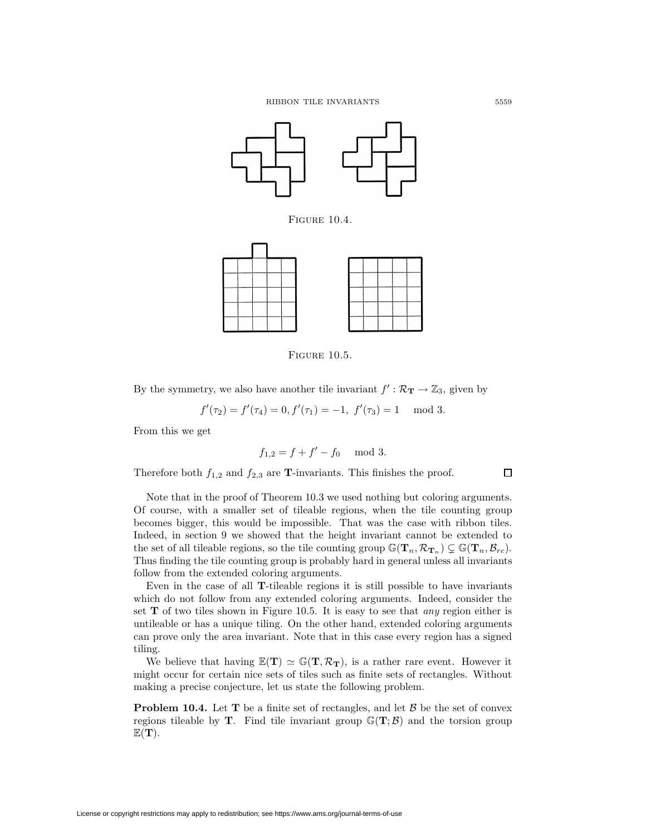

Figure 10.4.



FIGURE 10.5.

By the symmetry, we also have another tile invariant  $f': \mathcal{R}_{\mathbf{T}} \to \mathbb{Z}_3$ , given by

$$
f'(\tau_2) = f'(\tau_4) = 0, f'(\tau_1) = -1, f'(\tau_3) = 1 \mod 3.
$$

From this we get

$$
f_{1,2} = f + f' - f_0 \mod 3.
$$

Therefore both  $f_{1,2}$  and  $f_{2,3}$  are **T**-invariants. This finishes the proof.

 $\Box$ 

Note that in the proof of Theorem 10.3 we used nothing but coloring arguments. Of course, with a smaller set of tileable regions, when the tile counting group becomes bigger, this would be impossible. That was the case with ribbon tiles. Indeed, in section 9 we showed that the height invariant cannot be extended to the set of all tileable regions, so the tile counting group  $\mathbb{G}(\mathbf{T}_n, \mathcal{R}_{\mathbf{T}_n}) \subsetneq \mathbb{G}(\mathbf{T}_n, \mathcal{B}_{rc}).$ Thus finding the tile counting group is probably hard in general unless all invariants follow from the extended coloring arguments.

Even in the case of all **T**-tileable regions it is still possible to have invariants which do not follow from any extended coloring arguments. Indeed, consider the set **T** of two tiles shown in Figure 10.5. It is easy to see that *any* region either is untileable or has a unique tiling. On the other hand, extended coloring arguments can prove only the area invariant. Note that in this case every region has a signed tiling.

We believe that having  $\mathbb{E}(\mathbf{T}) \simeq \mathbb{G}(\mathbf{T}, \mathcal{R}_{\mathbf{T}})$ , is a rather rare event. However it might occur for certain nice sets of tiles such as finite sets of rectangles. Without making a precise conjecture, let us state the following problem.

**Problem 10.4.** Let  $T$  be a finite set of rectangles, and let  $\beta$  be the set of convex regions tileable by **T**. Find tile invariant group  $\mathbb{G}(\mathbf{T}; \mathcal{B})$  and the torsion group  $\mathbb{E}(\mathbf{T}).$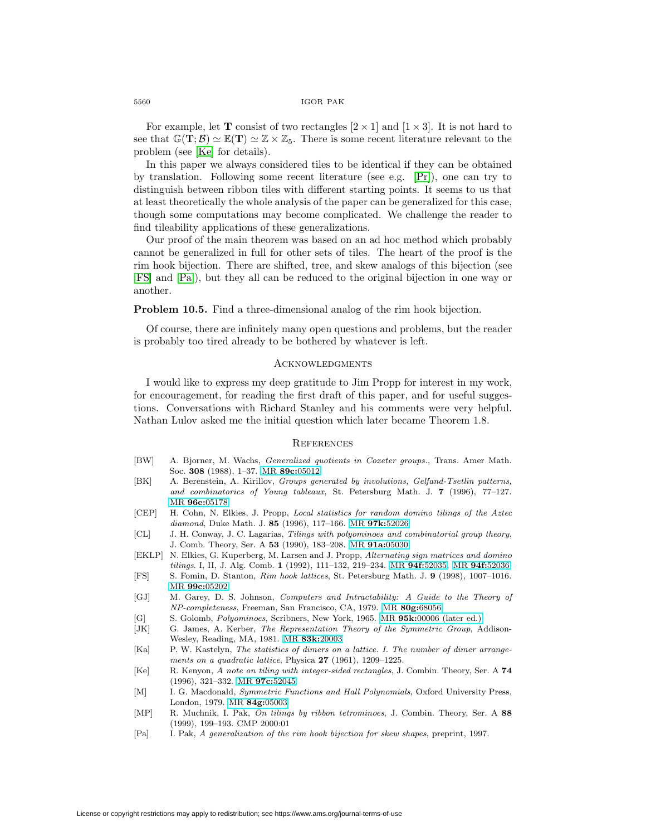For example, let **T** consist of two rectangles  $[2 \times 1]$  and  $[1 \times 3]$ . It is not hard to see that  $\mathbb{G}(\mathbf{T}; \mathcal{B}) \simeq \mathbb{E}(\mathbf{T}) \simeq \mathbb{Z} \times \mathbb{Z}_5$ . There is some recent literature relevant to the problem (see [\[Ke\]](#page-35-13) for details).

In this paper we always considered tiles to be identical if they can be obtained by translation. Following some recent literature (see e.g. [\[Pr\]](#page-36-5)), one can try to distinguish between ribbon tiles with different starting points. It seems to us that at least theoretically the whole analysis of the paper can be generalized for this case, though some computations may become complicated. We challenge the reader to find tileability applications of these generalizations.

Our proof of the main theorem was based on an ad hoc method which probably cannot be generalized in full for other sets of tiles. The heart of the proof is the rim hook bijection. There are shifted, tree, and skew analogs of this bijection (see [\[FS\]](#page-35-8) and [\[Pa\]](#page-35-11)), but they all can be reduced to the original bijection in one way or another.

**Problem 10.5.** Find a three-dimensional analog of the rim hook bijection.

Of course, there are infinitely many open questions and problems, but the reader is probably too tired already to be bothered by whatever is left.

#### **ACKNOWLEDGMENTS**

I would like to express my deep gratitude to Jim Propp for interest in my work, for encouragement, for reading the first draft of this paper, and for useful suggestions. Conversations with Richard Stanley and his comments were very helpful. Nathan Lulov asked me the initial question which later became Theorem 1.8.

### **REFERENCES**

- <span id="page-35-9"></span>[BW] A. Bjorner, M. Wachs, Generalized quotients in Coxeter groups., Trans. Amer Math. Soc. **308** (1988), 1–37. MR **89c:**[05012](http://www.ams.org/mathscinet-getitem?mr=89c:05012)
- <span id="page-35-10"></span>[BK] A. Berenstein, A. Kirillov, Groups generated by involutions, Gelfand-Tsetlin patterns, and combinatorics of Young tableaux, St. Petersburg Math. J. **7** (1996), 77–127. MR **96e:**[05178](http://www.ams.org/mathscinet-getitem?mr=96e:05178)
- <span id="page-35-2"></span>[CEP] H. Cohn, N. Elkies, J. Propp, Local statistics for random domino tilings of the Aztec diamond, Duke Math. J. **85** (1996), 117–166. MR **97k:**[52026](http://www.ams.org/mathscinet-getitem?mr=97k:52026)
- <span id="page-35-1"></span>[CL] J. H. Conway, J. C. Lagarias, Tilings with polyominoes and combinatorial group theory, J. Comb. Theory, Ser. A **53** (1990), 183–208. MR **91a:**[05030](http://www.ams.org/mathscinet-getitem?mr=91a:05030)
- <span id="page-35-5"></span>[EKLP] N. Elkies, G. Kuperberg, M. Larsen and J. Propp, Alternating sign matrices and domino tilings. I, II, J. Alg. Comb. **1** (1992), 111–132, 219–234. MR **94f:**[52035,](http://www.ams.org/mathscinet-getitem?mr=94f:52035) MR **94f:**[52036](http://www.ams.org/mathscinet-getitem?mr=94f:52036)
- <span id="page-35-8"></span>[FS] S. Fomin, D. Stanton, Rim hook lattices, St. Petersburg Math. J. **9** (1998), 1007–1016. MR **99c:**[05202](http://www.ams.org/mathscinet-getitem?mr=99c:05202)
- <span id="page-35-3"></span>[GJ] M. Garey, D. S. Johnson, Computers and Intractability: A Guide to the Theory of NP-completeness, Freeman, San Francisco, CA, 1979. MR **80g:**[68056](http://www.ams.org/mathscinet-getitem?mr=80g:68056)
- <span id="page-35-0"></span>[G] S. Golomb, Polyominoes, Scribners, New York, 1965. MR **95k:**[00006 \(later ed.\)](http://www.ams.org/mathscinet-getitem?mr=95k:00006 (later ed.))
- <span id="page-35-6"></span>[JK] G. James, A. Kerber, The Representation Theory of the Symmetric Group, Addison-Wesley, Reading, MA, 1981. MR **83k:**[20003](http://www.ams.org/mathscinet-getitem?mr=83k:20003)
- <span id="page-35-4"></span>[Ka] P. W. Kastelyn, The statistics of dimers on a lattice. I. The number of dimer arrangements on a quadratic lattice, Physica **27** (1961), 1209–1225.
- <span id="page-35-13"></span>[Ke] R. Kenyon, A note on tiling with integer-sided rectangles, J. Combin. Theory, Ser. A **74** (1996), 321–332. MR **97c:**[52045](http://www.ams.org/mathscinet-getitem?mr=97c:52045)
- <span id="page-35-7"></span>[M] I. G. Macdonald, *Symmetric Functions and Hall Polynomials*, Oxford University Press, London, 1979. MR **84g:**[05003](http://www.ams.org/mathscinet-getitem?mr=84g:05003)
- <span id="page-35-12"></span>[MP] R. Muchnik, I. Pak, On tilings by ribbon tetrominoes, J. Combin. Theory, Ser. A **88** (1999), 199–193. CMP 2000:01
- <span id="page-35-11"></span>[Pa] I. Pak, A generalization of the rim hook bijection for skew shapes, preprint, 1997.